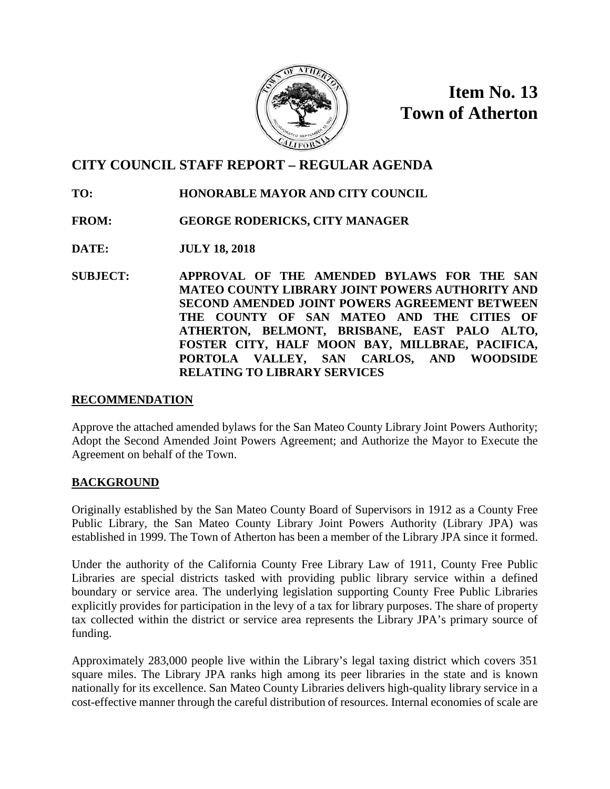

**Item No. 13 Town of Atherton**

# **CITY COUNCIL STAFF REPORT – REGULAR AGENDA**

- **TO: HONORABLE MAYOR AND CITY COUNCIL**
- **FROM: GEORGE RODERICKS, CITY MANAGER**
- **DATE: JULY 18, 2018**
- **SUBJECT: APPROVAL OF THE AMENDED BYLAWS FOR THE SAN MATEO COUNTY LIBRARY JOINT POWERS AUTHORITY AND SECOND AMENDED JOINT POWERS AGREEMENT BETWEEN THE COUNTY OF SAN MATEO AND THE CITIES OF ATHERTON, BELMONT, BRISBANE, EAST PALO ALTO, FOSTER CITY, HALF MOON BAY, MILLBRAE, PACIFICA, PORTOLA VALLEY, SAN CARLOS, AND WOODSIDE RELATING TO LIBRARY SERVICES**

# **RECOMMENDATION**

Approve the attached amended bylaws for the San Mateo County Library Joint Powers Authority; Adopt the Second Amended Joint Powers Agreement; and Authorize the Mayor to Execute the Agreement on behalf of the Town.

# **BACKGROUND**

Originally established by the San Mateo County Board of Supervisors in 1912 as a County Free Public Library, the San Mateo County Library Joint Powers Authority (Library JPA) was established in 1999. The Town of Atherton has been a member of the Library JPA since it formed.

Under the authority of the California County Free Library Law of 1911, County Free Public Libraries are special districts tasked with providing public library service within a defined boundary or service area. The underlying legislation supporting County Free Public Libraries explicitly provides for participation in the levy of a tax for library purposes. The share of property tax collected within the district or service area represents the Library JPA's primary source of funding.

Approximately 283,000 people live within the Library's legal taxing district which covers 351 square miles. The Library JPA ranks high among its peer libraries in the state and is known nationally for its excellence. San Mateo County Libraries delivers high-quality library service in a cost-effective manner through the careful distribution of resources. Internal economies of scale are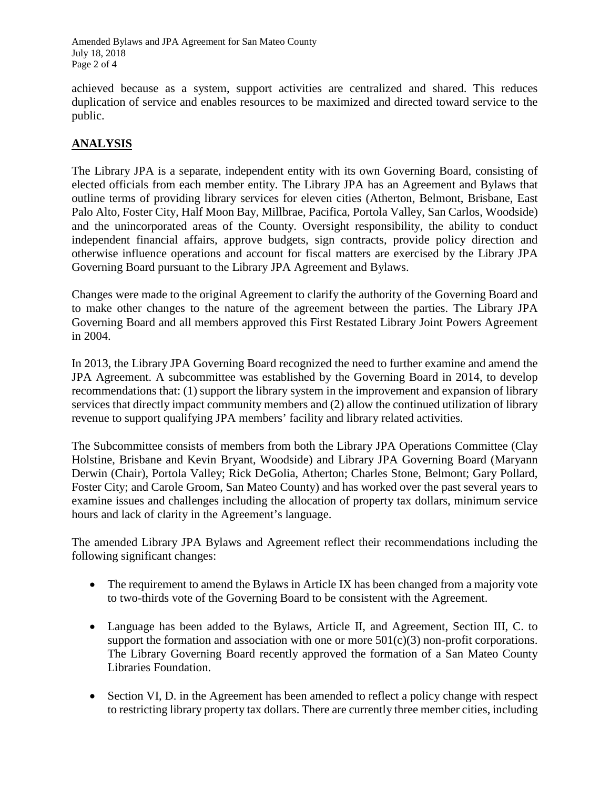Amended Bylaws and JPA Agreement for San Mateo County July 18, 2018 Page 2 of 4

achieved because as a system, support activities are centralized and shared. This reduces duplication of service and enables resources to be maximized and directed toward service to the public.

# **ANALYSIS**

The Library JPA is a separate, independent entity with its own Governing Board, consisting of elected officials from each member entity. The Library JPA has an Agreement and Bylaws that outline terms of providing library services for eleven cities (Atherton, Belmont, Brisbane, East Palo Alto, Foster City, Half Moon Bay, Millbrae, Pacifica, Portola Valley, San Carlos, Woodside) and the unincorporated areas of the County. Oversight responsibility, the ability to conduct independent financial affairs, approve budgets, sign contracts, provide policy direction and otherwise influence operations and account for fiscal matters are exercised by the Library JPA Governing Board pursuant to the Library JPA Agreement and Bylaws.

Changes were made to the original Agreement to clarify the authority of the Governing Board and to make other changes to the nature of the agreement between the parties. The Library JPA Governing Board and all members approved this First Restated Library Joint Powers Agreement in 2004.

In 2013, the Library JPA Governing Board recognized the need to further examine and amend the JPA Agreement. A subcommittee was established by the Governing Board in 2014, to develop recommendations that: (1) support the library system in the improvement and expansion of library services that directly impact community members and (2) allow the continued utilization of library revenue to support qualifying JPA members' facility and library related activities.

The Subcommittee consists of members from both the Library JPA Operations Committee (Clay Holstine, Brisbane and Kevin Bryant, Woodside) and Library JPA Governing Board (Maryann Derwin (Chair), Portola Valley; Rick DeGolia, Atherton; Charles Stone, Belmont; Gary Pollard, Foster City; and Carole Groom, San Mateo County) and has worked over the past several years to examine issues and challenges including the allocation of property tax dollars, minimum service hours and lack of clarity in the Agreement's language.

The amended Library JPA Bylaws and Agreement reflect their recommendations including the following significant changes:

- The requirement to amend the Bylaws in Article IX has been changed from a majority vote to two-thirds vote of the Governing Board to be consistent with the Agreement.
- Language has been added to the Bylaws, Article II, and Agreement, Section III, C. to support the formation and association with one or more  $501(c)(3)$  non-profit corporations. The Library Governing Board recently approved the formation of a San Mateo County Libraries Foundation.
- Section VI, D. in the Agreement has been amended to reflect a policy change with respect to restricting library property tax dollars. There are currently three member cities, including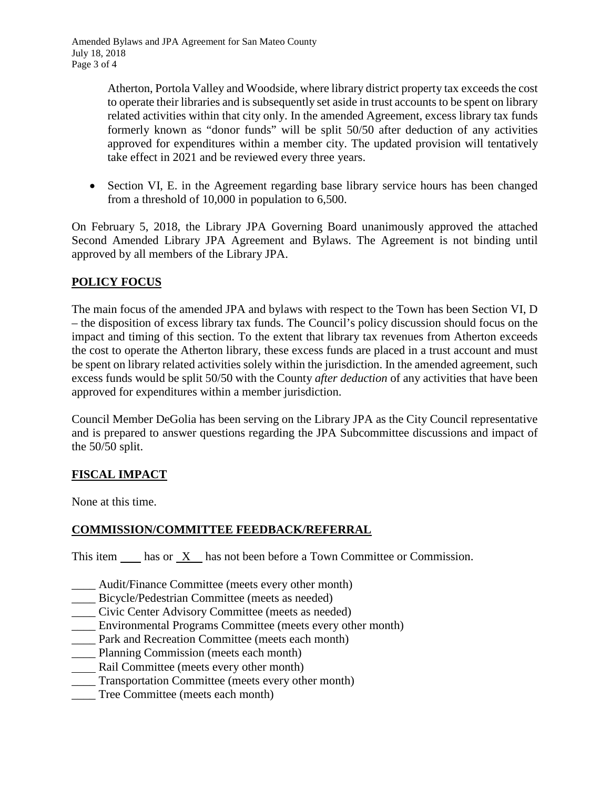Atherton, Portola Valley and Woodside, where library district property tax exceeds the cost to operate their libraries and is subsequently set aside in trust accounts to be spent on library related activities within that city only. In the amended Agreement, excess library tax funds formerly known as "donor funds" will be split 50/50 after deduction of any activities approved for expenditures within a member city. The updated provision will tentatively take effect in 2021 and be reviewed every three years.

• Section VI, E. in the Agreement regarding base library service hours has been changed from a threshold of 10,000 in population to 6,500.

On February 5, 2018, the Library JPA Governing Board unanimously approved the attached Second Amended Library JPA Agreement and Bylaws. The Agreement is not binding until approved by all members of the Library JPA.

# **POLICY FOCUS**

The main focus of the amended JPA and bylaws with respect to the Town has been Section VI, D – the disposition of excess library tax funds. The Council's policy discussion should focus on the impact and timing of this section. To the extent that library tax revenues from Atherton exceeds the cost to operate the Atherton library, these excess funds are placed in a trust account and must be spent on library related activities solely within the jurisdiction. In the amended agreement, such excess funds would be split 50/50 with the County *after deduction* of any activities that have been approved for expenditures within a member jurisdiction.

Council Member DeGolia has been serving on the Library JPA as the City Council representative and is prepared to answer questions regarding the JPA Subcommittee discussions and impact of the 50/50 split.

# **FISCAL IMPACT**

None at this time.

# **COMMISSION/COMMITTEE FEEDBACK/REFERRAL**

This item has or X has not been before a Town Committee or Commission.

- \_\_\_\_ Audit/Finance Committee (meets every other month)
- \_\_\_\_ Bicycle/Pedestrian Committee (meets as needed)
- \_\_\_\_ Civic Center Advisory Committee (meets as needed)
- \_\_\_\_ Environmental Programs Committee (meets every other month)
- \_\_\_\_ Park and Recreation Committee (meets each month)
- Planning Commission (meets each month)
- Rail Committee (meets every other month)
- \_\_\_\_ Transportation Committee (meets every other month)
- \_\_\_\_ Tree Committee (meets each month)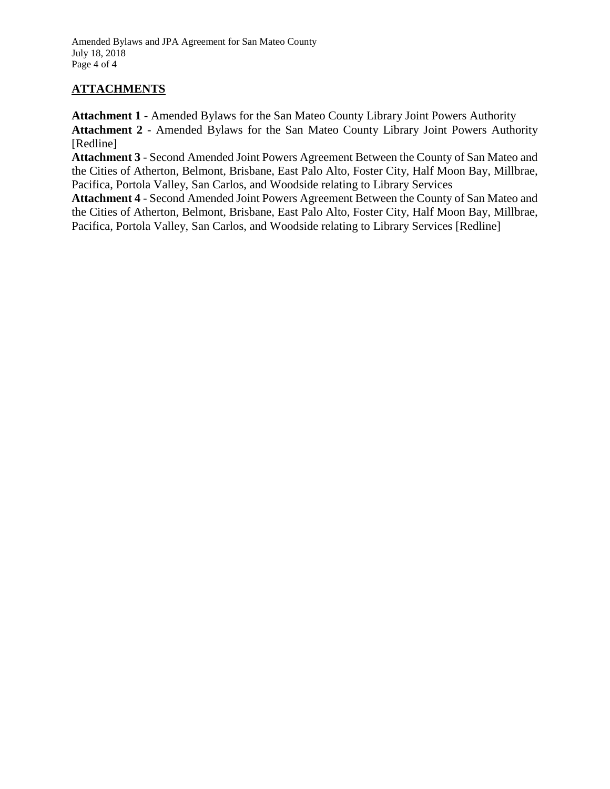Amended Bylaws and JPA Agreement for San Mateo County July 18, 2018 Page 4 of 4

# **ATTACHMENTS**

**Attachment 1** - Amended Bylaws for the San Mateo County Library Joint Powers Authority **Attachment 2** - Amended Bylaws for the San Mateo County Library Joint Powers Authority [Redline]

**Attachment 3** - Second Amended Joint Powers Agreement Between the County of San Mateo and the Cities of Atherton, Belmont, Brisbane, East Palo Alto, Foster City, Half Moon Bay, Millbrae, Pacifica, Portola Valley, San Carlos, and Woodside relating to Library Services

**Attachment 4** - Second Amended Joint Powers Agreement Between the County of San Mateo and the Cities of Atherton, Belmont, Brisbane, East Palo Alto, Foster City, Half Moon Bay, Millbrae, Pacifica, Portola Valley, San Carlos, and Woodside relating to Library Services [Redline]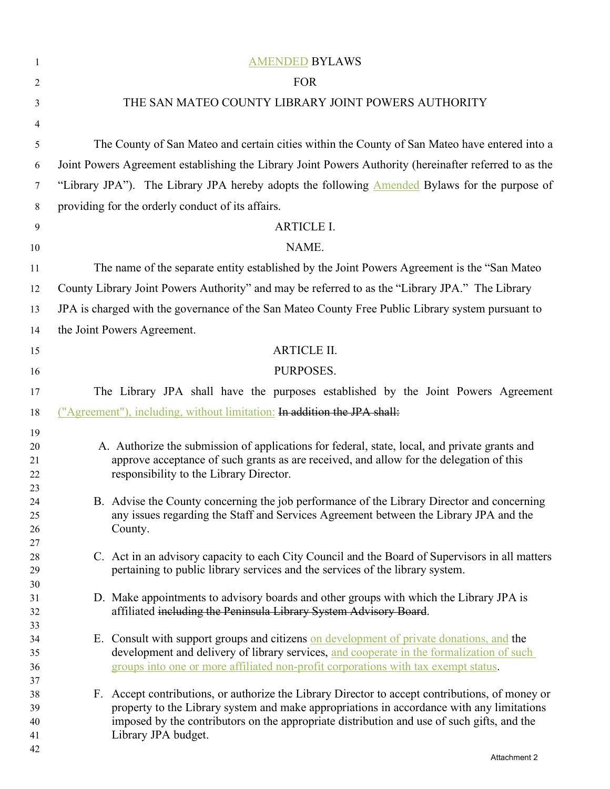| 1        | <b>AMENDED BYLAWS</b>                                                                                                                                                                    |  |  |
|----------|------------------------------------------------------------------------------------------------------------------------------------------------------------------------------------------|--|--|
| 2        | <b>FOR</b>                                                                                                                                                                               |  |  |
| 3        | THE SAN MATEO COUNTY LIBRARY JOINT POWERS AUTHORITY                                                                                                                                      |  |  |
| 4        |                                                                                                                                                                                          |  |  |
| 5        | The County of San Mateo and certain cities within the County of San Mateo have entered into a                                                                                            |  |  |
| 6        | Joint Powers Agreement establishing the Library Joint Powers Authority (hereinafter referred to as the                                                                                   |  |  |
|          |                                                                                                                                                                                          |  |  |
| 7        | "Library JPA"). The Library JPA hereby adopts the following <b>Amended</b> Bylaws for the purpose of                                                                                     |  |  |
| 8        | providing for the orderly conduct of its affairs.                                                                                                                                        |  |  |
| 9        | <b>ARTICLE I.</b>                                                                                                                                                                        |  |  |
| 10       | NAME.                                                                                                                                                                                    |  |  |
| 11       | The name of the separate entity established by the Joint Powers Agreement is the "San Mateo"                                                                                             |  |  |
| 12       | County Library Joint Powers Authority" and may be referred to as the "Library JPA." The Library                                                                                          |  |  |
| 13       | JPA is charged with the governance of the San Mateo County Free Public Library system pursuant to                                                                                        |  |  |
| 14       | the Joint Powers Agreement.                                                                                                                                                              |  |  |
| 15       | <b>ARTICLE II.</b>                                                                                                                                                                       |  |  |
| 16       | PURPOSES.                                                                                                                                                                                |  |  |
| 17       | The Library JPA shall have the purposes established by the Joint Powers Agreement                                                                                                        |  |  |
| 18       | ("Agreement"), including, without limitation: In addition the JPA shall:                                                                                                                 |  |  |
| 19       |                                                                                                                                                                                          |  |  |
| 20<br>21 | A. Authorize the submission of applications for federal, state, local, and private grants and<br>approve acceptance of such grants as are received, and allow for the delegation of this |  |  |
| 22<br>23 | responsibility to the Library Director.                                                                                                                                                  |  |  |
| 24<br>25 | B. Advise the County concerning the job performance of the Library Director and concerning<br>any issues regarding the Staff and Services Agreement between the Library JPA and the      |  |  |
| 26<br>27 | County.                                                                                                                                                                                  |  |  |
| 28       | C. Act in an advisory capacity to each City Council and the Board of Supervisors in all matters                                                                                          |  |  |
| 29       | pertaining to public library services and the services of the library system.                                                                                                            |  |  |
| 30<br>31 | D. Make appointments to advisory boards and other groups with which the Library JPA is                                                                                                   |  |  |
| 32       | affiliated including the Peninsula Library System Advisory Board.                                                                                                                        |  |  |
| 33       |                                                                                                                                                                                          |  |  |
| 34<br>35 | E. Consult with support groups and citizens on development of private donations, and the<br>development and delivery of library services, and cooperate in the formalization of such     |  |  |
| 36       | groups into one or more affiliated non-profit corporations with tax exempt status.                                                                                                       |  |  |
| 37       | F. Accept contributions, or authorize the Library Director to accept contributions, of money or                                                                                          |  |  |
| 38<br>39 | property to the Library system and make appropriations in accordance with any limitations                                                                                                |  |  |
| 40       | imposed by the contributors on the appropriate distribution and use of such gifts, and the                                                                                               |  |  |
| 41<br>42 | Library JPA budget.                                                                                                                                                                      |  |  |
|          |                                                                                                                                                                                          |  |  |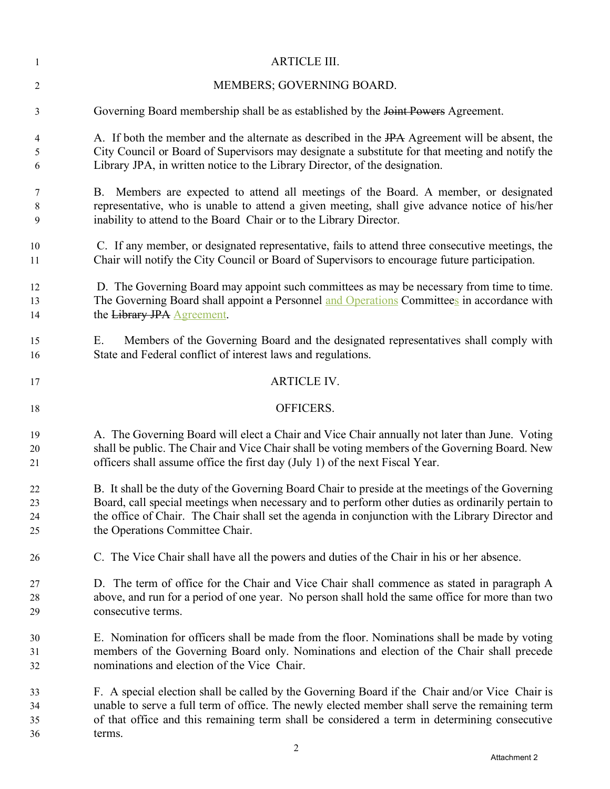| 1        | <b>ARTICLE III.</b>                                                                                                                                       |
|----------|-----------------------------------------------------------------------------------------------------------------------------------------------------------|
| 2        | MEMBERS; GOVERNING BOARD.                                                                                                                                 |
| 3        | Governing Board membership shall be as established by the Joint Powers Agreement.                                                                         |
| 4        | A. If both the member and the alternate as described in the IPA Agreement will be absent, the                                                             |
| 5        | City Council or Board of Supervisors may designate a substitute for that meeting and notify the                                                           |
| 6        | Library JPA, in written notice to the Library Director, of the designation.                                                                               |
| 7        | B. Members are expected to attend all meetings of the Board. A member, or designated                                                                      |
| 8        | representative, who is unable to attend a given meeting, shall give advance notice of his/her                                                             |
| 9        | inability to attend to the Board Chair or to the Library Director.                                                                                        |
| 10       | C. If any member, or designated representative, fails to attend three consecutive meetings, the                                                           |
| 11       | Chair will notify the City Council or Board of Supervisors to encourage future participation.                                                             |
| 12       | D. The Governing Board may appoint such committees as may be necessary from time to time.                                                                 |
| 13       | The Governing Board shall appoint a Personnel and Operations Committees in accordance with                                                                |
| 14       | the Library JPA Agreement.                                                                                                                                |
| 15<br>16 | Members of the Governing Board and the designated representatives shall comply with<br>Е.<br>State and Federal conflict of interest laws and regulations. |
| 17       | <b>ARTICLE IV.</b>                                                                                                                                        |
| 18       | OFFICERS.                                                                                                                                                 |
| 19       | A. The Governing Board will elect a Chair and Vice Chair annually not later than June. Voting                                                             |
| 20       | shall be public. The Chair and Vice Chair shall be voting members of the Governing Board. New                                                             |
| 21       | officers shall assume office the first day (July 1) of the next Fiscal Year.                                                                              |
| 22       | B. It shall be the duty of the Governing Board Chair to preside at the meetings of the Governing                                                          |
| 23       | Board, call special meetings when necessary and to perform other duties as ordinarily pertain to                                                          |
| 24       | the office of Chair. The Chair shall set the agenda in conjunction with the Library Director and                                                          |
| 25       | the Operations Committee Chair.                                                                                                                           |
| 26       | C. The Vice Chair shall have all the powers and duties of the Chair in his or her absence.                                                                |
| 27       | D. The term of office for the Chair and Vice Chair shall commence as stated in paragraph A                                                                |
| 28       | above, and run for a period of one year. No person shall hold the same office for more than two                                                           |
| 29       | consecutive terms.                                                                                                                                        |
| 30       | E. Nomination for officers shall be made from the floor. Nominations shall be made by voting                                                              |
| 31       | members of the Governing Board only. Nominations and election of the Chair shall precede                                                                  |
| 32       | nominations and election of the Vice Chair.                                                                                                               |
| 33       | F. A special election shall be called by the Governing Board if the Chair and/or Vice Chair is                                                            |
| 34       | unable to serve a full term of office. The newly elected member shall serve the remaining term                                                            |
| 35       | of that office and this remaining term shall be considered a term in determining consecutive                                                              |
| 36       | terms.                                                                                                                                                    |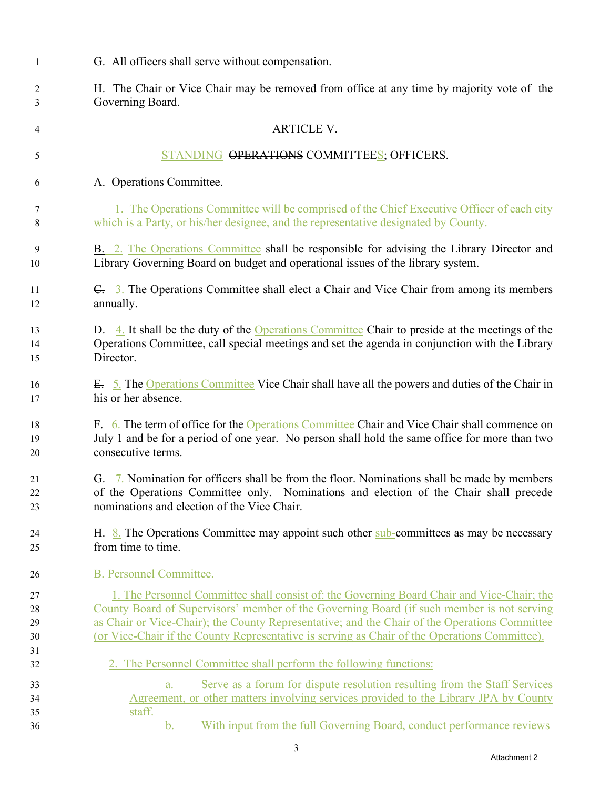| $\mathbf{1}$   | G. All officers shall serve without compensation.                                                                                                                                 |
|----------------|-----------------------------------------------------------------------------------------------------------------------------------------------------------------------------------|
| 2              | H. The Chair or Vice Chair may be removed from office at any time by majority vote of the                                                                                         |
| 3              | Governing Board.                                                                                                                                                                  |
| 4              | <b>ARTICLE V.</b>                                                                                                                                                                 |
| 5              | STANDING OPERATIONS COMMITTEES; OFFICERS.                                                                                                                                         |
| 6              | A. Operations Committee.                                                                                                                                                          |
| 7              | 1. The Operations Committee will be comprised of the Chief Executive Officer of each city                                                                                         |
| 8              | which is a Party, or his/her designee, and the representative designated by County.                                                                                               |
| 9              | <b>B.</b> 2. The Operations Committee shall be responsible for advising the Library Director and                                                                                  |
| 10             | Library Governing Board on budget and operational issues of the library system.                                                                                                   |
| 11             | C. 3. The Operations Committee shall elect a Chair and Vice Chair from among its members                                                                                          |
| 12             | annually.                                                                                                                                                                         |
| 13             | <b>D.</b> 4. It shall be the duty of the Operations Committee Chair to preside at the meetings of the                                                                             |
| 14             | Operations Committee, call special meetings and set the agenda in conjunction with the Library                                                                                    |
| 15             | Director.                                                                                                                                                                         |
| 16             | E. 5. The Operations Committee Vice Chair shall have all the powers and duties of the Chair in                                                                                    |
| 17             | his or her absence.                                                                                                                                                               |
| 18             | F. 6. The term of office for the Operations Committee Chair and Vice Chair shall commence on                                                                                      |
| 19             | July 1 and be for a period of one year. No person shall hold the same office for more than two                                                                                    |
| 20             | consecutive terms.                                                                                                                                                                |
| 21             | G. 7. Nomination for officers shall be from the floor. Nominations shall be made by members                                                                                       |
| 22             | of the Operations Committee only. Nominations and election of the Chair shall precede                                                                                             |
| 23             | nominations and election of the Vice Chair.                                                                                                                                       |
| 24             | H. 8. The Operations Committee may appoint such other sub-committees as may be necessary                                                                                          |
| 25             | from time to time.                                                                                                                                                                |
| 26             | <b>B.</b> Personnel Committee.                                                                                                                                                    |
| 27             | 1. The Personnel Committee shall consist of: the Governing Board Chair and Vice-Chair; the                                                                                        |
| 28             | County Board of Supervisors' member of the Governing Board (if such member is not serving                                                                                         |
| 29             | as Chair or Vice-Chair); the County Representative; and the Chair of the Operations Committee                                                                                     |
| 30             | (or Vice-Chair if the County Representative is serving as Chair of the Operations Committee).                                                                                     |
| 31<br>32       | 2. The Personnel Committee shall perform the following functions:                                                                                                                 |
| 33<br>34<br>35 | Serve as a forum for dispute resolution resulting from the Staff Services<br>a.<br>Agreement, or other matters involving services provided to the Library JPA by County<br>staff. |
| 36             | With input from the full Governing Board, conduct performance reviews<br>$\mathbf b$ .                                                                                            |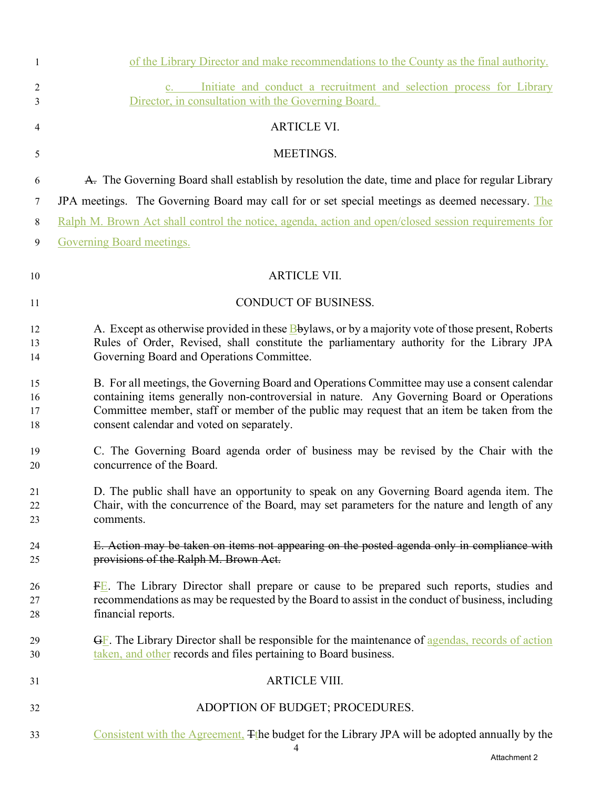| $\mathbf{1}$         | of the Library Director and make recommendations to the County as the final authority.                                                                                                                                                                                                                                               |
|----------------------|--------------------------------------------------------------------------------------------------------------------------------------------------------------------------------------------------------------------------------------------------------------------------------------------------------------------------------------|
| $\overline{2}$<br>3  | Initiate and conduct a recruitment and selection process for Library<br>$c_{\rm r}$<br>Director, in consultation with the Governing Board.                                                                                                                                                                                           |
| 4                    | <b>ARTICLE VI.</b>                                                                                                                                                                                                                                                                                                                   |
| 5                    | MEETINGS.                                                                                                                                                                                                                                                                                                                            |
| 6                    | A. The Governing Board shall establish by resolution the date, time and place for regular Library                                                                                                                                                                                                                                    |
| 7                    | JPA meetings. The Governing Board may call for or set special meetings as deemed necessary. The                                                                                                                                                                                                                                      |
| 8                    | Ralph M. Brown Act shall control the notice, agenda, action and open/closed session requirements for                                                                                                                                                                                                                                 |
| 9                    | <b>Governing Board meetings.</b>                                                                                                                                                                                                                                                                                                     |
| 10                   | <b>ARTICLE VII.</b>                                                                                                                                                                                                                                                                                                                  |
| 11                   | <b>CONDUCT OF BUSINESS.</b>                                                                                                                                                                                                                                                                                                          |
| 12<br>13<br>14       | A. Except as otherwise provided in these <b>B</b> bylaws, or by a majority vote of those present, Roberts<br>Rules of Order, Revised, shall constitute the parliamentary authority for the Library JPA<br>Governing Board and Operations Committee.                                                                                  |
| 15<br>16<br>17<br>18 | B. For all meetings, the Governing Board and Operations Committee may use a consent calendar<br>containing items generally non-controversial in nature. Any Governing Board or Operations<br>Committee member, staff or member of the public may request that an item be taken from the<br>consent calendar and voted on separately. |
| 19<br>20             | C. The Governing Board agenda order of business may be revised by the Chair with the<br>concurrence of the Board.                                                                                                                                                                                                                    |
| 21<br>22<br>23       | D. The public shall have an opportunity to speak on any Governing Board agenda item. The<br>Chair, with the concurrence of the Board, may set parameters for the nature and length of any<br>comments.                                                                                                                               |
| 24<br>25             | E. Action may be taken on items not appearing on the posted agenda only in compliance with<br>provisions of the Ralph M. Brown Act.                                                                                                                                                                                                  |
| 26<br>27<br>28       | $FE$ . The Library Director shall prepare or cause to be prepared such reports, studies and<br>recommendations as may be requested by the Board to assist in the conduct of business, including<br>financial reports.                                                                                                                |
| 29<br>30             | $\overline{GE}$ . The Library Director shall be responsible for the maintenance of agendas, records of action<br>taken, and other records and files pertaining to Board business.                                                                                                                                                    |
| 31                   | <b>ARTICLE VIII.</b>                                                                                                                                                                                                                                                                                                                 |
| 32                   | ADOPTION OF BUDGET; PROCEDURES.                                                                                                                                                                                                                                                                                                      |
| 33                   | Consistent with the Agreement. The budget for the Library JPA will be adopted annually by the                                                                                                                                                                                                                                        |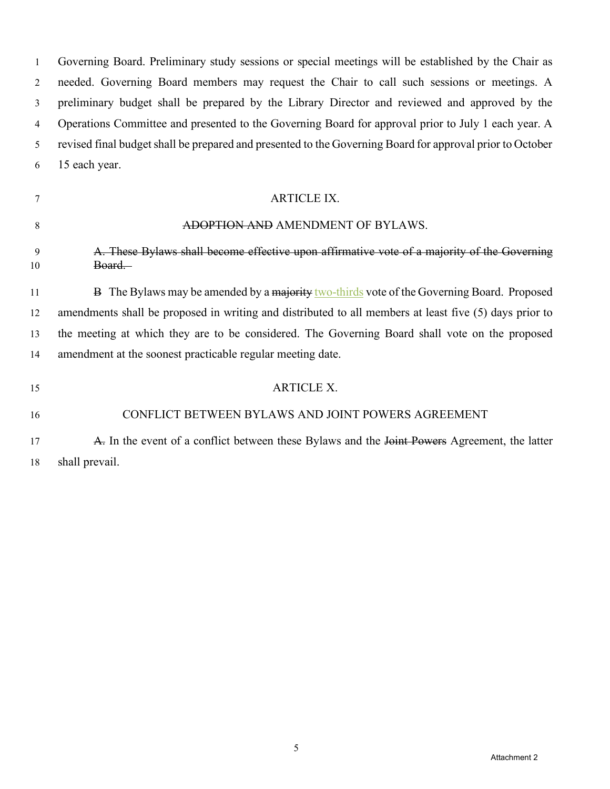Governing Board. Preliminary study sessions or special meetings will be established by the Chair as needed. Governing Board members may request the Chair to call such sessions or meetings. A preliminary budget shall be prepared by the Library Director and reviewed and approved by the Operations Committee and presented to the Governing Board for approval prior to July 1 each year. A revised final budget shall be prepared and presented to the Governing Board for approval prior to October 15 each year.

## ARTICLE IX.

## 8 ADOPTION AND AMENDMENT OF BYLAWS.

# A. These Bylaws shall become effective upon affirmative vote of a majority of the Governing 10 Board.

11 B The Bylaws may be amended by a majority two-thirds vote of the Governing Board. Proposed amendments shall be proposed in writing and distributed to all members at least five (5) days prior to the meeting at which they are to be considered. The Governing Board shall vote on the proposed amendment at the soonest practicable regular meeting date.

15 ARTICLE X.

# CONFLICT BETWEEN BYLAWS AND JOINT POWERS AGREEMENT

# **A.** In the event of a conflict between these Bylaws and the Joint Powers Agreement, the latter shall prevail.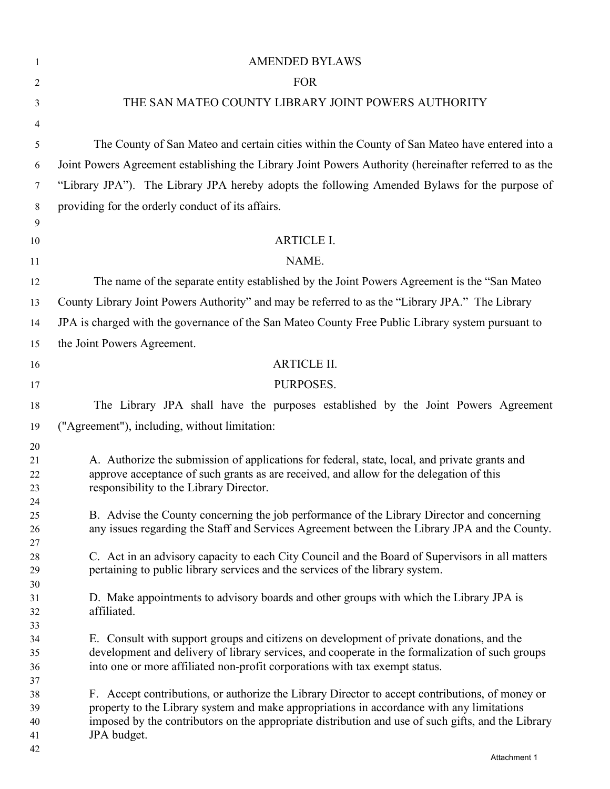| 1        | <b>AMENDED BYLAWS</b>                                                                                                                                                                        |
|----------|----------------------------------------------------------------------------------------------------------------------------------------------------------------------------------------------|
| 2        | <b>FOR</b>                                                                                                                                                                                   |
| 3        | THE SAN MATEO COUNTY LIBRARY JOINT POWERS AUTHORITY                                                                                                                                          |
| 4        |                                                                                                                                                                                              |
| 5        | The County of San Mateo and certain cities within the County of San Mateo have entered into a                                                                                                |
| 6        | Joint Powers Agreement establishing the Library Joint Powers Authority (hereinafter referred to as the                                                                                       |
| 7        | "Library JPA"). The Library JPA hereby adopts the following Amended Bylaws for the purpose of                                                                                                |
|          | providing for the orderly conduct of its affairs.                                                                                                                                            |
| 8<br>9   |                                                                                                                                                                                              |
| 10       | <b>ARTICLE I.</b>                                                                                                                                                                            |
| 11       | NAME.                                                                                                                                                                                        |
| 12       | The name of the separate entity established by the Joint Powers Agreement is the "San Mateo"                                                                                                 |
| 13       | County Library Joint Powers Authority" and may be referred to as the "Library JPA." The Library                                                                                              |
|          |                                                                                                                                                                                              |
| 14       | JPA is charged with the governance of the San Mateo County Free Public Library system pursuant to                                                                                            |
| 15       | the Joint Powers Agreement.                                                                                                                                                                  |
| 16       | <b>ARTICLE II.</b>                                                                                                                                                                           |
| 17       | PURPOSES.                                                                                                                                                                                    |
| 18       | The Library JPA shall have the purposes established by the Joint Powers Agreement                                                                                                            |
| 19       | ("Agreement"), including, without limitation:                                                                                                                                                |
| 20       |                                                                                                                                                                                              |
| 21       | A. Authorize the submission of applications for federal, state, local, and private grants and                                                                                                |
| 22       | approve acceptance of such grants as are received, and allow for the delegation of this                                                                                                      |
| 23<br>24 | responsibility to the Library Director.                                                                                                                                                      |
| 25       | B. Advise the County concerning the job performance of the Library Director and concerning                                                                                                   |
| 26       | any issues regarding the Staff and Services Agreement between the Library JPA and the County.                                                                                                |
| 27       |                                                                                                                                                                                              |
| 28<br>29 | C. Act in an advisory capacity to each City Council and the Board of Supervisors in all matters<br>pertaining to public library services and the services of the library system.             |
| 30       |                                                                                                                                                                                              |
| 31       | D. Make appointments to advisory boards and other groups with which the Library JPA is                                                                                                       |
| 32       | affiliated.                                                                                                                                                                                  |
| 33<br>34 | E. Consult with support groups and citizens on development of private donations, and the                                                                                                     |
| 35       | development and delivery of library services, and cooperate in the formalization of such groups                                                                                              |
| 36       | into one or more affiliated non-profit corporations with tax exempt status.                                                                                                                  |
| 37       |                                                                                                                                                                                              |
| 38<br>39 | F. Accept contributions, or authorize the Library Director to accept contributions, of money or<br>property to the Library system and make appropriations in accordance with any limitations |
| 40       | imposed by the contributors on the appropriate distribution and use of such gifts, and the Library                                                                                           |
| 41       | JPA budget.                                                                                                                                                                                  |
| 42       |                                                                                                                                                                                              |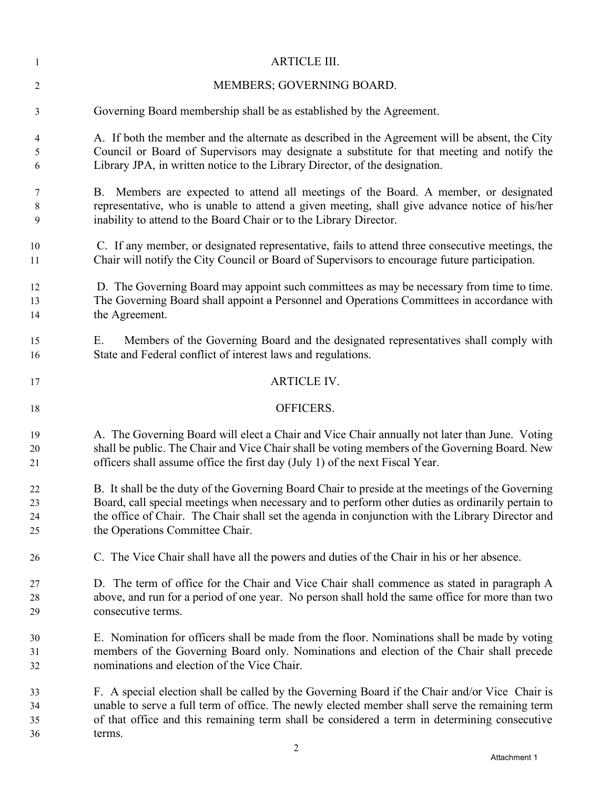| 1        | <b>ARTICLE III.</b>                                                                                                                                       |
|----------|-----------------------------------------------------------------------------------------------------------------------------------------------------------|
| 2        | MEMBERS; GOVERNING BOARD.                                                                                                                                 |
| 3        | Governing Board membership shall be as established by the Agreement.                                                                                      |
| 4        | A. If both the member and the alternate as described in the Agreement will be absent, the City                                                            |
| 5        | Council or Board of Supervisors may designate a substitute for that meeting and notify the                                                                |
| 6        | Library JPA, in written notice to the Library Director, of the designation.                                                                               |
| 7        | B. Members are expected to attend all meetings of the Board. A member, or designated                                                                      |
| 8        | representative, who is unable to attend a given meeting, shall give advance notice of his/her                                                             |
| 9        | inability to attend to the Board Chair or to the Library Director.                                                                                        |
| 10       | C. If any member, or designated representative, fails to attend three consecutive meetings, the                                                           |
| 11       | Chair will notify the City Council or Board of Supervisors to encourage future participation.                                                             |
| 12       | D. The Governing Board may appoint such committees as may be necessary from time to time.                                                                 |
| 13       | The Governing Board shall appoint a Personnel and Operations Committees in accordance with                                                                |
| 14       | the Agreement.                                                                                                                                            |
| 15<br>16 | Members of the Governing Board and the designated representatives shall comply with<br>Е.<br>State and Federal conflict of interest laws and regulations. |
| 17       | <b>ARTICLE IV.</b>                                                                                                                                        |
| 18       | OFFICERS.                                                                                                                                                 |
| 19       | A. The Governing Board will elect a Chair and Vice Chair annually not later than June. Voting                                                             |
| 20       | shall be public. The Chair and Vice Chair shall be voting members of the Governing Board. New                                                             |
| 21       | officers shall assume office the first day (July 1) of the next Fiscal Year.                                                                              |
| 22       | B. It shall be the duty of the Governing Board Chair to preside at the meetings of the Governing                                                          |
| 23       | Board, call special meetings when necessary and to perform other duties as ordinarily pertain to                                                          |
| 24       | the office of Chair. The Chair shall set the agenda in conjunction with the Library Director and                                                          |
| 25       | the Operations Committee Chair.                                                                                                                           |
| 26       | C. The Vice Chair shall have all the powers and duties of the Chair in his or her absence.                                                                |
| 27       | D. The term of office for the Chair and Vice Chair shall commence as stated in paragraph A                                                                |
| 28       | above, and run for a period of one year. No person shall hold the same office for more than two                                                           |
| 29       | consecutive terms.                                                                                                                                        |
| 30       | E. Nomination for officers shall be made from the floor. Nominations shall be made by voting                                                              |
| 31       | members of the Governing Board only. Nominations and election of the Chair shall precede                                                                  |
| 32       | nominations and election of the Vice Chair.                                                                                                               |
| 33       | F. A special election shall be called by the Governing Board if the Chair and/or Vice Chair is                                                            |
| 34       | unable to serve a full term of office. The newly elected member shall serve the remaining term                                                            |
| 35       | of that office and this remaining term shall be considered a term in determining consecutive                                                              |
| 36       | terms.                                                                                                                                                    |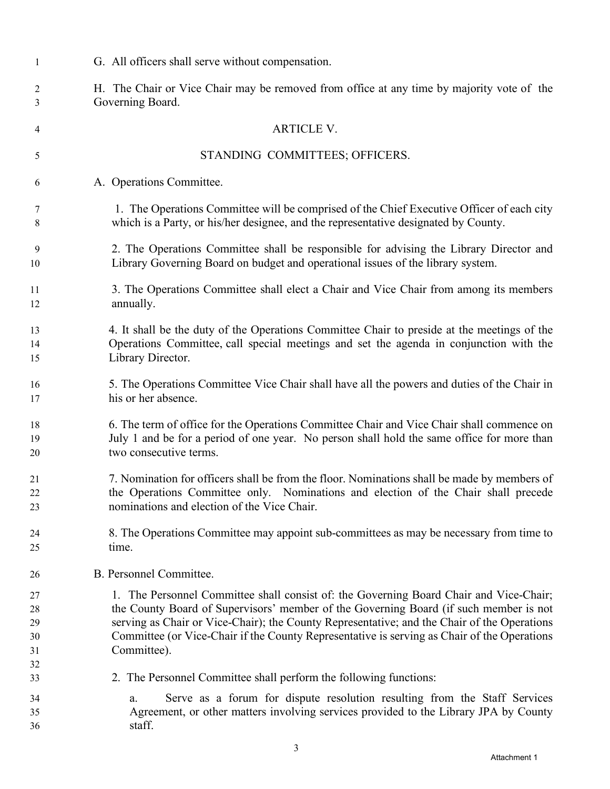| 1                                | G. All officers shall serve without compensation.                                                                                                                                                                                                                                                                                                                                            |
|----------------------------------|----------------------------------------------------------------------------------------------------------------------------------------------------------------------------------------------------------------------------------------------------------------------------------------------------------------------------------------------------------------------------------------------|
| 2                                | H. The Chair or Vice Chair may be removed from office at any time by majority vote of the                                                                                                                                                                                                                                                                                                    |
| 3                                | Governing Board.                                                                                                                                                                                                                                                                                                                                                                             |
| 4                                | <b>ARTICLE V.</b>                                                                                                                                                                                                                                                                                                                                                                            |
| 5                                | STANDING COMMITTEES; OFFICERS.                                                                                                                                                                                                                                                                                                                                                               |
| 6                                | A. Operations Committee.                                                                                                                                                                                                                                                                                                                                                                     |
| 7                                | 1. The Operations Committee will be comprised of the Chief Executive Officer of each city                                                                                                                                                                                                                                                                                                    |
| 8                                | which is a Party, or his/her designee, and the representative designated by County.                                                                                                                                                                                                                                                                                                          |
| 9                                | 2. The Operations Committee shall be responsible for advising the Library Director and                                                                                                                                                                                                                                                                                                       |
| 10                               | Library Governing Board on budget and operational issues of the library system.                                                                                                                                                                                                                                                                                                              |
| 11                               | 3. The Operations Committee shall elect a Chair and Vice Chair from among its members                                                                                                                                                                                                                                                                                                        |
| 12                               | annually.                                                                                                                                                                                                                                                                                                                                                                                    |
| 13                               | 4. It shall be the duty of the Operations Committee Chair to preside at the meetings of the                                                                                                                                                                                                                                                                                                  |
| 14                               | Operations Committee, call special meetings and set the agenda in conjunction with the                                                                                                                                                                                                                                                                                                       |
| 15                               | Library Director.                                                                                                                                                                                                                                                                                                                                                                            |
| 16                               | 5. The Operations Committee Vice Chair shall have all the powers and duties of the Chair in                                                                                                                                                                                                                                                                                                  |
| 17                               | his or her absence.                                                                                                                                                                                                                                                                                                                                                                          |
| 18                               | 6. The term of office for the Operations Committee Chair and Vice Chair shall commence on                                                                                                                                                                                                                                                                                                    |
| 19                               | July 1 and be for a period of one year. No person shall hold the same office for more than                                                                                                                                                                                                                                                                                                   |
| 20                               | two consecutive terms.                                                                                                                                                                                                                                                                                                                                                                       |
| 21                               | 7. Nomination for officers shall be from the floor. Nominations shall be made by members of                                                                                                                                                                                                                                                                                                  |
| 22                               | the Operations Committee only. Nominations and election of the Chair shall precede                                                                                                                                                                                                                                                                                                           |
| 23                               | nominations and election of the Vice Chair.                                                                                                                                                                                                                                                                                                                                                  |
| 24                               | 8. The Operations Committee may appoint sub-committees as may be necessary from time to                                                                                                                                                                                                                                                                                                      |
| 25                               | time.                                                                                                                                                                                                                                                                                                                                                                                        |
| 26                               | B. Personnel Committee.                                                                                                                                                                                                                                                                                                                                                                      |
| 27<br>28<br>29<br>30<br>31<br>32 | 1. The Personnel Committee shall consist of: the Governing Board Chair and Vice-Chair;<br>the County Board of Supervisors' member of the Governing Board (if such member is not<br>serving as Chair or Vice-Chair); the County Representative; and the Chair of the Operations<br>Committee (or Vice-Chair if the County Representative is serving as Chair of the Operations<br>Committee). |
| 33<br>34<br>35<br>36             | 2. The Personnel Committee shall perform the following functions:<br>Serve as a forum for dispute resolution resulting from the Staff Services<br>a.<br>Agreement, or other matters involving services provided to the Library JPA by County<br>staff.                                                                                                                                       |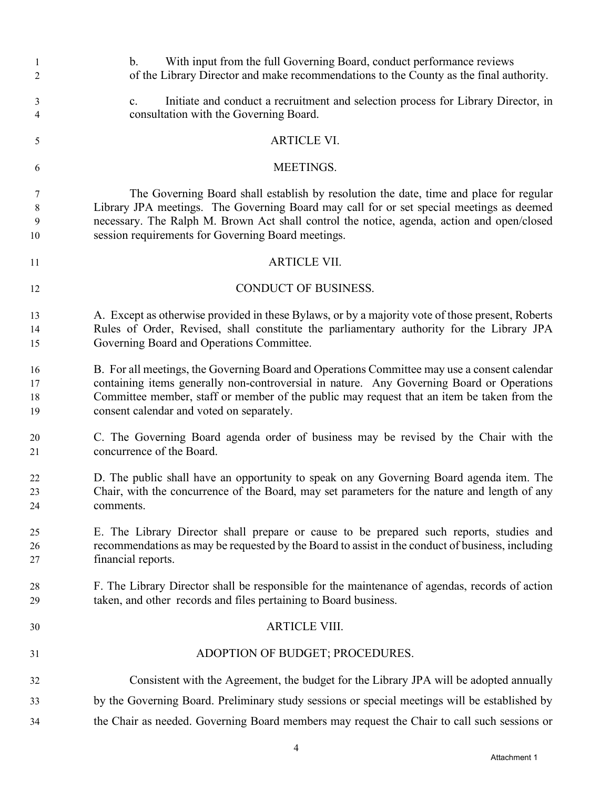| 1<br>$\overline{c}$  | With input from the full Governing Board, conduct performance reviews<br>$b_{\cdot}$<br>of the Library Director and make recommendations to the County as the final authority.                                                                                                                                                         |
|----------------------|----------------------------------------------------------------------------------------------------------------------------------------------------------------------------------------------------------------------------------------------------------------------------------------------------------------------------------------|
| 3<br>4               | Initiate and conduct a recruitment and selection process for Library Director, in<br>$\mathbf{c}$ .<br>consultation with the Governing Board.                                                                                                                                                                                          |
| 5                    | <b>ARTICLE VI.</b>                                                                                                                                                                                                                                                                                                                     |
| 6                    | MEETINGS.                                                                                                                                                                                                                                                                                                                              |
| 7<br>8<br>9<br>10    | The Governing Board shall establish by resolution the date, time and place for regular<br>Library JPA meetings. The Governing Board may call for or set special meetings as deemed<br>necessary. The Ralph M. Brown Act shall control the notice, agenda, action and open/closed<br>session requirements for Governing Board meetings. |
| 11                   | <b>ARTICLE VII.</b>                                                                                                                                                                                                                                                                                                                    |
| 12                   | <b>CONDUCT OF BUSINESS.</b>                                                                                                                                                                                                                                                                                                            |
| 13<br>14<br>15       | A. Except as otherwise provided in these Bylaws, or by a majority vote of those present, Roberts<br>Rules of Order, Revised, shall constitute the parliamentary authority for the Library JPA<br>Governing Board and Operations Committee.                                                                                             |
| 16<br>17<br>18<br>19 | B. For all meetings, the Governing Board and Operations Committee may use a consent calendar<br>containing items generally non-controversial in nature. Any Governing Board or Operations<br>Committee member, staff or member of the public may request that an item be taken from the<br>consent calendar and voted on separately.   |
| 20<br>21             | C. The Governing Board agenda order of business may be revised by the Chair with the<br>concurrence of the Board.                                                                                                                                                                                                                      |
| 22<br>23<br>24       | D. The public shall have an opportunity to speak on any Governing Board agenda item. The<br>Chair, with the concurrence of the Board, may set parameters for the nature and length of any<br>comments.                                                                                                                                 |
| 25<br>26<br>27       | E. The Library Director shall prepare or cause to be prepared such reports, studies and<br>recommendations as may be requested by the Board to assist in the conduct of business, including<br>financial reports.                                                                                                                      |
| 28<br>29             | F. The Library Director shall be responsible for the maintenance of agendas, records of action<br>taken, and other records and files pertaining to Board business.                                                                                                                                                                     |
| 30                   | <b>ARTICLE VIII.</b>                                                                                                                                                                                                                                                                                                                   |
| 31                   | ADOPTION OF BUDGET; PROCEDURES.                                                                                                                                                                                                                                                                                                        |
| 32                   | Consistent with the Agreement, the budget for the Library JPA will be adopted annually                                                                                                                                                                                                                                                 |
| 33                   | by the Governing Board. Preliminary study sessions or special meetings will be established by                                                                                                                                                                                                                                          |
| 34                   | the Chair as needed. Governing Board members may request the Chair to call such sessions or                                                                                                                                                                                                                                            |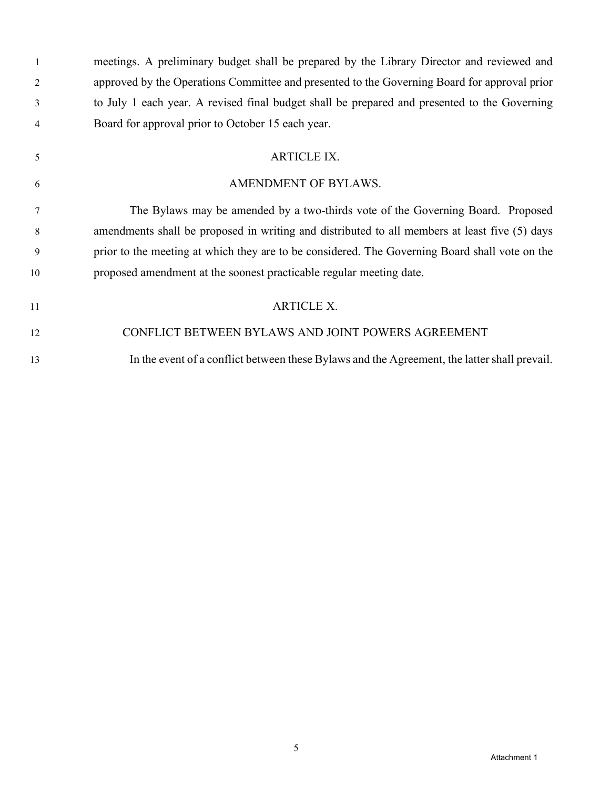| $\mathbf{1}$   | meetings. A preliminary budget shall be prepared by the Library Director and reviewed and      |
|----------------|------------------------------------------------------------------------------------------------|
| 2              | approved by the Operations Committee and presented to the Governing Board for approval prior   |
| 3              | to July 1 each year. A revised final budget shall be prepared and presented to the Governing   |
| $\overline{4}$ | Board for approval prior to October 15 each year.                                              |
| 5              | <b>ARTICLE IX.</b>                                                                             |
| 6              | AMENDMENT OF BYLAWS.                                                                           |
| 7              | The Bylaws may be amended by a two-thirds vote of the Governing Board. Proposed                |
| 8              | amendments shall be proposed in writing and distributed to all members at least five (5) days  |
| 9              | prior to the meeting at which they are to be considered. The Governing Board shall vote on the |
| 10             | proposed amendment at the soonest practicable regular meeting date.                            |
| 11             | <b>ARTICLE X.</b>                                                                              |
| 12             | CONFLICT BETWEEN BYLAWS AND JOINT POWERS AGREEMENT                                             |
| 13             | In the event of a conflict between these Bylaws and the Agreement, the latter shall prevail.   |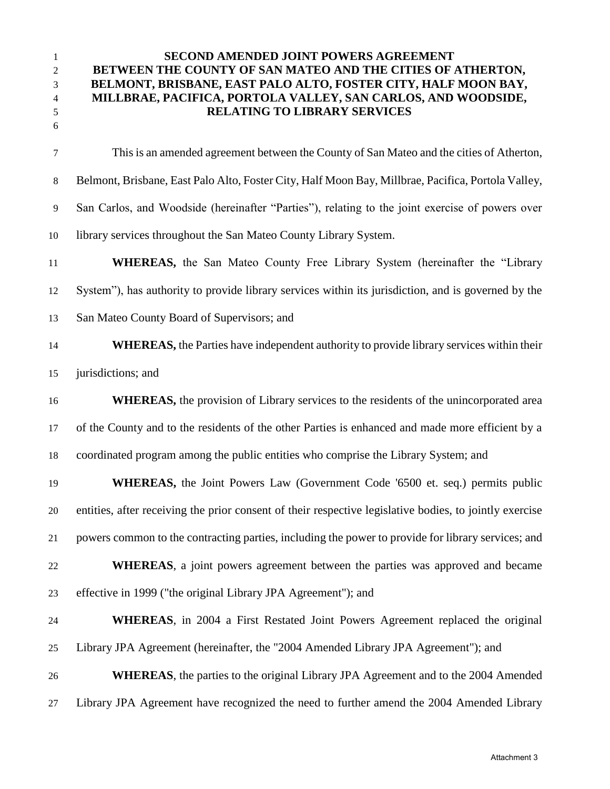## **SECOND AMENDED JOINT POWERS AGREEMENT BETWEEN THE COUNTY OF SAN MATEO AND THE CITIES OF ATHERTON, BELMONT, BRISBANE, EAST PALO ALTO, FOSTER CITY, HALF MOON BAY, MILLBRAE, PACIFICA, PORTOLA VALLEY, SAN CARLOS, AND WOODSIDE, RELATING TO LIBRARY SERVICES**

| $\tau$ | This is an amended agreement between the County of San Mateo and the cities of Atherton,                |
|--------|---------------------------------------------------------------------------------------------------------|
| 8      | Belmont, Brisbane, East Palo Alto, Foster City, Half Moon Bay, Millbrae, Pacifica, Portola Valley,      |
| 9      | San Carlos, and Woodside (hereinafter "Parties"), relating to the joint exercise of powers over         |
| 10     | library services throughout the San Mateo County Library System.                                        |
| 11     | <b>WHEREAS</b> , the San Mateo County Free Library System (hereinafter the "Library                     |
| 12     | System"), has authority to provide library services within its jurisdiction, and is governed by the     |
| 13     | San Mateo County Board of Supervisors; and                                                              |
| 14     | <b>WHEREAS</b> , the Parties have independent authority to provide library services within their        |
| 15     | jurisdictions; and                                                                                      |
| 16     | <b>WHEREAS</b> , the provision of Library services to the residents of the unincorporated area          |
| 17     | of the County and to the residents of the other Parties is enhanced and made more efficient by a        |
| 18     | coordinated program among the public entities who comprise the Library System; and                      |
| 19     | <b>WHEREAS</b> , the Joint Powers Law (Government Code '6500 et. seq.) permits public                   |
| 20     | entities, after receiving the prior consent of their respective legislative bodies, to jointly exercise |
| 21     | powers common to the contracting parties, including the power to provide for library services; and      |
| 22     | <b>WHEREAS</b> , a joint powers agreement between the parties was approved and became                   |
| 23     | effective in 1999 ("the original Library JPA Agreement"); and                                           |
| 24     | <b>WHEREAS</b> , in 2004 a First Restated Joint Powers Agreement replaced the original                  |
| 25     | Library JPA Agreement (hereinafter, the "2004 Amended Library JPA Agreement"); and                      |
| 26     | <b>WHEREAS</b> , the parties to the original Library JPA Agreement and to the 2004 Amended              |
|        |                                                                                                         |

Library JPA Agreement have recognized the need to further amend the 2004 Amended Library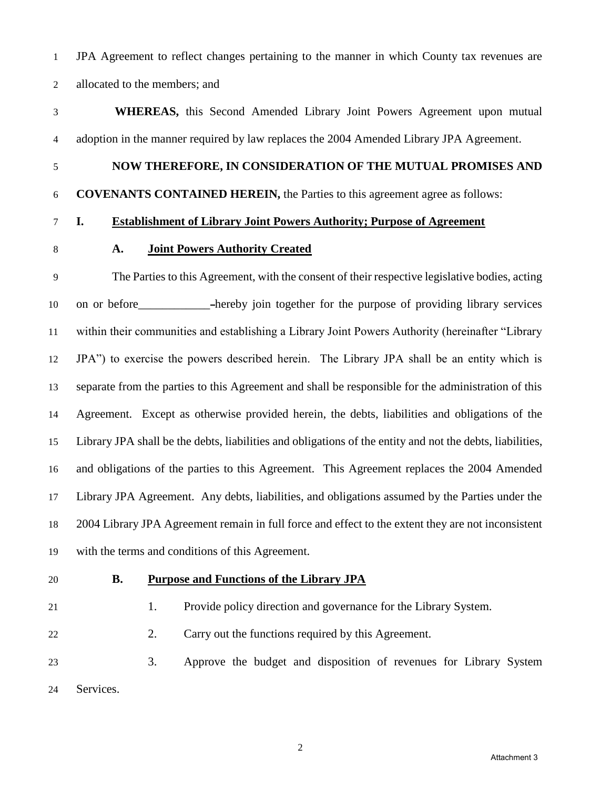JPA Agreement to reflect changes pertaining to the manner in which County tax revenues are allocated to the members; and

 **WHEREAS,** this Second Amended Library Joint Powers Agreement upon mutual adoption in the manner required by law replaces the 2004 Amended Library JPA Agreement.

### **NOW THEREFORE, IN CONSIDERATION OF THE MUTUAL PROMISES AND**

#### **COVENANTS CONTAINED HEREIN,** the Parties to this agreement agree as follows:

#### **I. Establishment of Library Joint Powers Authority; Purpose of Agreement**

### **A. Joint Powers Authority Created**

 The Parties to this Agreement, with the consent of their respective legislative bodies, acting 10 on or before -hereby join together for the purpose of providing library services within their communities and establishing a Library Joint Powers Authority (hereinafter "Library JPA") to exercise the powers described herein. The Library JPA shall be an entity which is separate from the parties to this Agreement and shall be responsible for the administration of this Agreement. Except as otherwise provided herein, the debts, liabilities and obligations of the Library JPA shall be the debts, liabilities and obligations of the entity and not the debts, liabilities, and obligations of the parties to this Agreement. This Agreement replaces the 2004 Amended Library JPA Agreement. Any debts, liabilities, and obligations assumed by the Parties under the 2004 Library JPA Agreement remain in full force and effect to the extent they are not inconsistent with the terms and conditions of this Agreement.

## **B. Purpose and Functions of the Library JPA**

21 1. Provide policy direction and governance for the Library System.

2. Carry out the functions required by this Agreement.

 3. Approve the budget and disposition of revenues for Library System Services.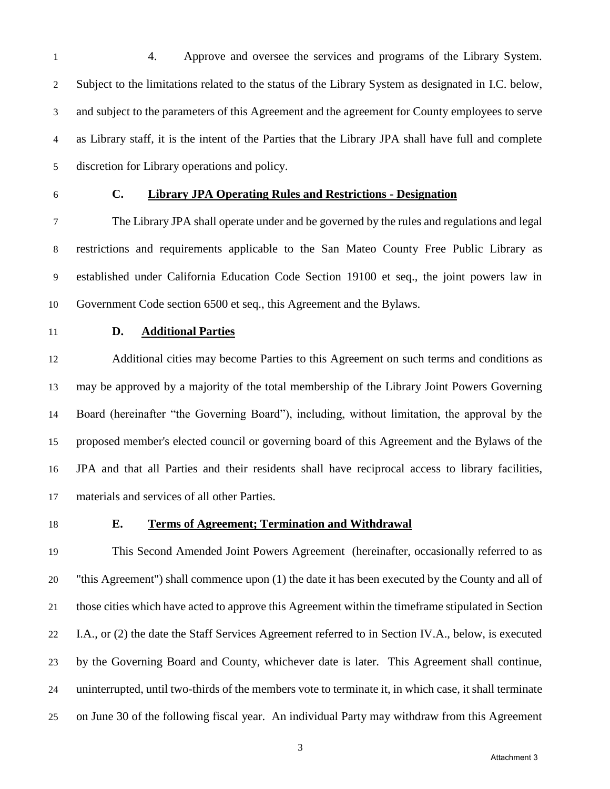4. Approve and oversee the services and programs of the Library System. Subject to the limitations related to the status of the Library System as designated in I.C. below, and subject to the parameters of this Agreement and the agreement for County employees to serve as Library staff, it is the intent of the Parties that the Library JPA shall have full and complete discretion for Library operations and policy.

# **C. Library JPA Operating Rules and Restrictions - Designation**

 The Library JPA shall operate under and be governed by the rules and regulations and legal restrictions and requirements applicable to the San Mateo County Free Public Library as established under California Education Code Section 19100 et seq., the joint powers law in Government Code section 6500 et seq., this Agreement and the Bylaws.

# **D. Additional Parties**

 Additional cities may become Parties to this Agreement on such terms and conditions as may be approved by a majority of the total membership of the Library Joint Powers Governing Board (hereinafter "the Governing Board"), including, without limitation, the approval by the proposed member's elected council or governing board of this Agreement and the Bylaws of the JPA and that all Parties and their residents shall have reciprocal access to library facilities, materials and services of all other Parties.

#### **E. Terms of Agreement; Termination and Withdrawal**

 This Second Amended Joint Powers Agreement (hereinafter, occasionally referred to as "this Agreement") shall commence upon (1) the date it has been executed by the County and all of those cities which have acted to approve this Agreement within the timeframe stipulated in Section I.A., or (2) the date the Staff Services Agreement referred to in Section IV.A., below, is executed by the Governing Board and County, whichever date is later. This Agreement shall continue, uninterrupted, until two-thirds of the members vote to terminate it, in which case, it shall terminate on June 30 of the following fiscal year. An individual Party may withdraw from this Agreement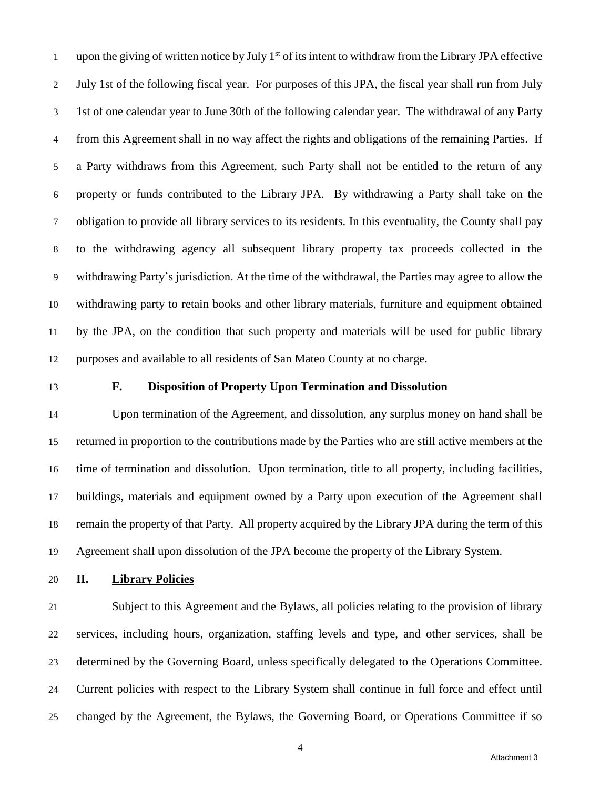upon the giving of written notice by July  $1<sup>st</sup>$  of its intent to withdraw from the Library JPA effective July 1st of the following fiscal year. For purposes of this JPA, the fiscal year shall run from July 1st of one calendar year to June 30th of the following calendar year. The withdrawal of any Party from this Agreement shall in no way affect the rights and obligations of the remaining Parties. If a Party withdraws from this Agreement, such Party shall not be entitled to the return of any property or funds contributed to the Library JPA. By withdrawing a Party shall take on the obligation to provide all library services to its residents. In this eventuality, the County shall pay to the withdrawing agency all subsequent library property tax proceeds collected in the withdrawing Party's jurisdiction. At the time of the withdrawal, the Parties may agree to allow the withdrawing party to retain books and other library materials, furniture and equipment obtained by the JPA, on the condition that such property and materials will be used for public library purposes and available to all residents of San Mateo County at no charge.

#### **F. Disposition of Property Upon Termination and Dissolution**

 Upon termination of the Agreement, and dissolution, any surplus money on hand shall be returned in proportion to the contributions made by the Parties who are still active members at the time of termination and dissolution. Upon termination, title to all property, including facilities, buildings, materials and equipment owned by a Party upon execution of the Agreement shall remain the property of that Party. All property acquired by the Library JPA during the term of this Agreement shall upon dissolution of the JPA become the property of the Library System.

### **II. Library Policies**

 Subject to this Agreement and the Bylaws, all policies relating to the provision of library services, including hours, organization, staffing levels and type, and other services, shall be determined by the Governing Board, unless specifically delegated to the Operations Committee. Current policies with respect to the Library System shall continue in full force and effect until changed by the Agreement, the Bylaws, the Governing Board, or Operations Committee if so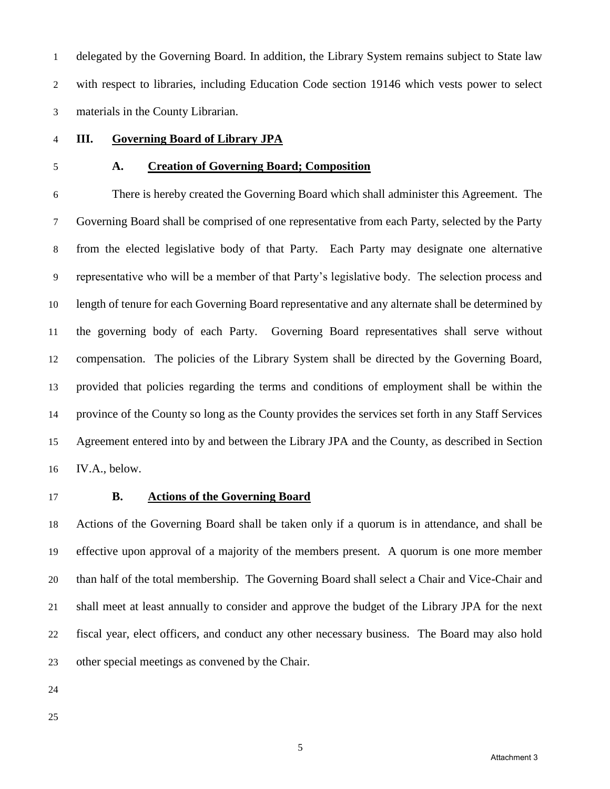delegated by the Governing Board. In addition, the Library System remains subject to State law with respect to libraries, including Education Code section 19146 which vests power to select materials in the County Librarian.

- **III. Governing Board of Library JPA**
- 

#### **A. Creation of Governing Board; Composition**

 There is hereby created the Governing Board which shall administer this Agreement. The Governing Board shall be comprised of one representative from each Party, selected by the Party from the elected legislative body of that Party. Each Party may designate one alternative representative who will be a member of that Party's legislative body. The selection process and length of tenure for each Governing Board representative and any alternate shall be determined by the governing body of each Party. Governing Board representatives shall serve without compensation. The policies of the Library System shall be directed by the Governing Board, provided that policies regarding the terms and conditions of employment shall be within the province of the County so long as the County provides the services set forth in any Staff Services Agreement entered into by and between the Library JPA and the County, as described in Section IV.A., below.

#### **B. Actions of the Governing Board**

 Actions of the Governing Board shall be taken only if a quorum is in attendance, and shall be effective upon approval of a majority of the members present. A quorum is one more member than half of the total membership. The Governing Board shall select a Chair and Vice-Chair and shall meet at least annually to consider and approve the budget of the Library JPA for the next fiscal year, elect officers, and conduct any other necessary business. The Board may also hold other special meetings as convened by the Chair.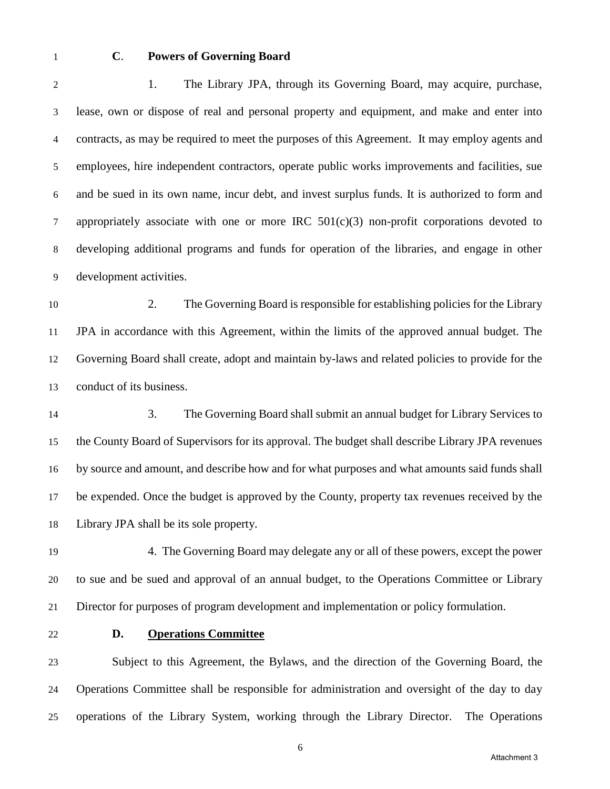#### **C**. **Powers of Governing Board**

2 1. The Library JPA, through its Governing Board, may acquire, purchase, lease, own or dispose of real and personal property and equipment, and make and enter into contracts, as may be required to meet the purposes of this Agreement. It may employ agents and employees, hire independent contractors, operate public works improvements and facilities, sue and be sued in its own name, incur debt, and invest surplus funds. It is authorized to form and appropriately associate with one or more IRC 501(c)(3) non-profit corporations devoted to developing additional programs and funds for operation of the libraries, and engage in other development activities.

 2. The Governing Board is responsible for establishing policies for the Library JPA in accordance with this Agreement, within the limits of the approved annual budget. The Governing Board shall create, adopt and maintain by-laws and related policies to provide for the conduct of its business.

 3. The Governing Board shall submit an annual budget for Library Services to the County Board of Supervisors for its approval. The budget shall describe Library JPA revenues by source and amount, and describe how and for what purposes and what amounts said funds shall be expended. Once the budget is approved by the County, property tax revenues received by the Library JPA shall be its sole property.

 4.The Governing Board may delegate any or all of these powers, except the power to sue and be sued and approval of an annual budget, to the Operations Committee or Library Director for purposes of program development and implementation or policy formulation.

#### **D. Operations Committee**

 Subject to this Agreement, the Bylaws, and the direction of the Governing Board, the Operations Committee shall be responsible for administration and oversight of the day to day operations of the Library System, working through the Library Director.The Operations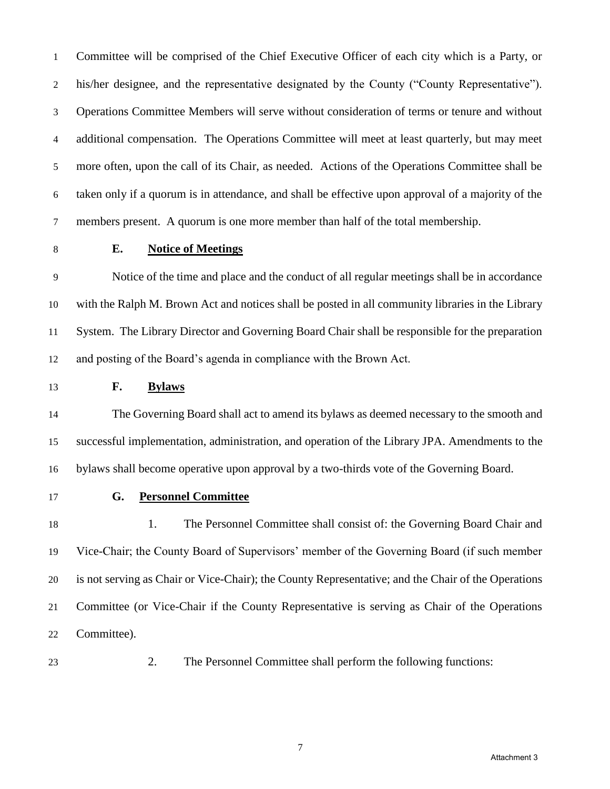Committee will be comprised of the Chief Executive Officer of each city which is a Party, or his/her designee, and the representative designated by the County ("County Representative"). Operations Committee Members will serve without consideration of terms or tenure and without additional compensation. The Operations Committee will meet at least quarterly, but may meet more often, upon the call of its Chair, as needed. Actions of the Operations Committee shall be taken only if a quorum is in attendance, and shall be effective upon approval of a majority of the members present. A quorum is one more member than half of the total membership.

### **E. Notice of Meetings**

 Notice of the time and place and the conduct of all regular meetings shall be in accordance with the Ralph M. Brown Act and notices shall be posted in all community libraries in the Library System. The Library Director and Governing Board Chair shall be responsible for the preparation and posting of the Board's agenda in compliance with the Brown Act.

**F. Bylaws**

 The Governing Board shall act to amend its bylaws as deemed necessary to the smooth and successful implementation, administration, and operation of the Library JPA. Amendments to the bylaws shall become operative upon approval by a two-thirds vote of the Governing Board.

**G. Personnel Committee**

 1. The Personnel Committee shall consist of: the Governing Board Chair and Vice-Chair; the County Board of Supervisors' member of the Governing Board (if such member is not serving as Chair or Vice-Chair); the County Representative; and the Chair of the Operations Committee (or Vice-Chair if the County Representative is serving as Chair of the Operations Committee).

2. The Personnel Committee shall perform the following functions: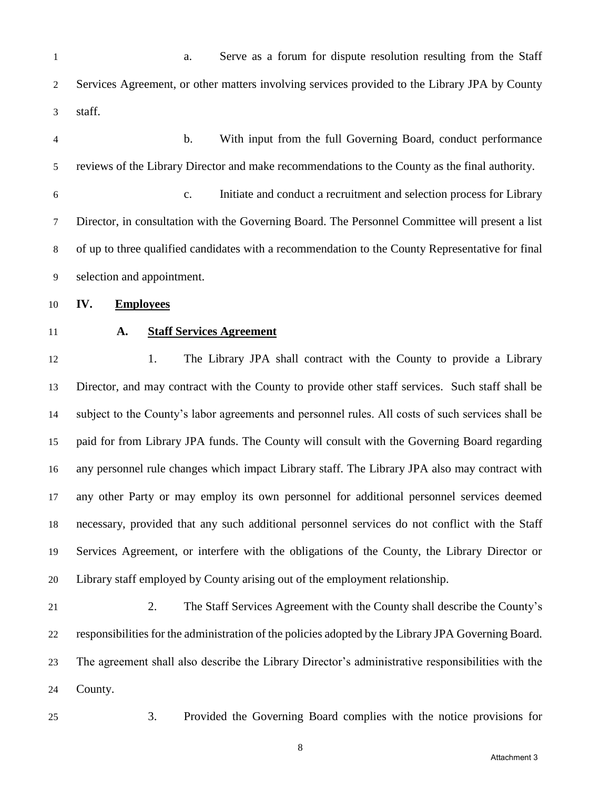| $\mathbf{1}$   | Serve as a forum for dispute resolution resulting from the Staff<br>a.                              |
|----------------|-----------------------------------------------------------------------------------------------------|
| $\overline{2}$ | Services Agreement, or other matters involving services provided to the Library JPA by County       |
| 3              | staff.                                                                                              |
| $\overline{4}$ | With input from the full Governing Board, conduct performance<br>$\mathbf b$ .                      |
| 5              | reviews of the Library Director and make recommendations to the County as the final authority.      |
| 6              | Initiate and conduct a recruitment and selection process for Library<br>$\mathbf{c}$ .              |
| $\tau$         | Director, in consultation with the Governing Board. The Personnel Committee will present a list     |
| $\,8\,$        | of up to three qualified candidates with a recommendation to the County Representative for final    |
| 9              | selection and appointment.                                                                          |
| 10             | IV.<br><b>Employees</b>                                                                             |
| 11             | <b>Staff Services Agreement</b><br>A.                                                               |
| 12             | The Library JPA shall contract with the County to provide a Library<br>1.                           |
| 13             | Director, and may contract with the County to provide other staff services. Such staff shall be     |
| 14             | subject to the County's labor agreements and personnel rules. All costs of such services shall be   |
| 15             | paid for from Library JPA funds. The County will consult with the Governing Board regarding         |
| 16             | any personnel rule changes which impact Library staff. The Library JPA also may contract with       |
| 17             | any other Party or may employ its own personnel for additional personnel services deemed            |
| 18             | necessary, provided that any such additional personnel services do not conflict with the Staff      |
| 19             | Services Agreement, or interfere with the obligations of the County, the Library Director or        |
| 20             | Library staff employed by County arising out of the employment relationship.                        |
| 21             | The Staff Services Agreement with the County shall describe the County's<br>2.                      |
| 22             | responsibilities for the administration of the policies adopted by the Library JPA Governing Board. |
| 23             | The agreement shall also describe the Library Director's administrative responsibilities with the   |
| 24             | County.                                                                                             |
| 25             | 3.<br>Provided the Governing Board complies with the notice provisions for                          |

Attachment 3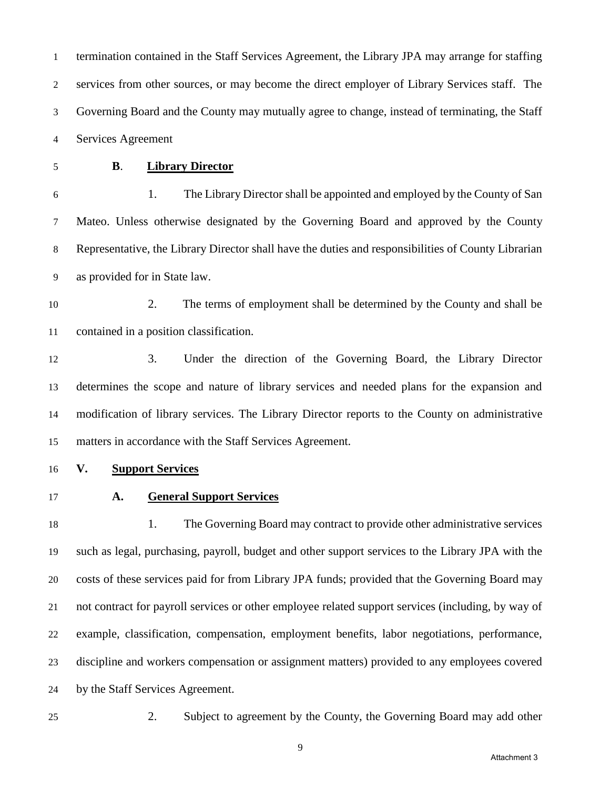termination contained in the Staff Services Agreement, the Library JPA may arrange for staffing services from other sources, or may become the direct employer of Library Services staff. The Governing Board and the County may mutually agree to change, instead of terminating, the Staff Services Agreement

# **B**. **Library Director**

 1. The Library Director shall be appointed and employed by the County of San Mateo. Unless otherwise designated by the Governing Board and approved by the County Representative, the Library Director shall have the duties and responsibilities of County Librarian as provided for in State law.

 2. The terms of employment shall be determined by the County and shall be contained in a position classification.

 3. Under the direction of the Governing Board, the Library Director determines the scope and nature of library services and needed plans for the expansion and modification of library services. The Library Director reports to the County on administrative matters in accordance with the Staff Services Agreement.

- **V. Support Services**
- 

#### **A. General Support Services**

 1. The Governing Board may contract to provide other administrative services such as legal, purchasing, payroll, budget and other support services to the Library JPA with the costs of these services paid for from Library JPA funds; provided that the Governing Board may not contract for payroll services or other employee related support services (including, by way of example, classification, compensation, employment benefits, labor negotiations, performance, discipline and workers compensation or assignment matters) provided to any employees covered by the Staff Services Agreement.

2. Subject to agreement by the County, the Governing Board may add other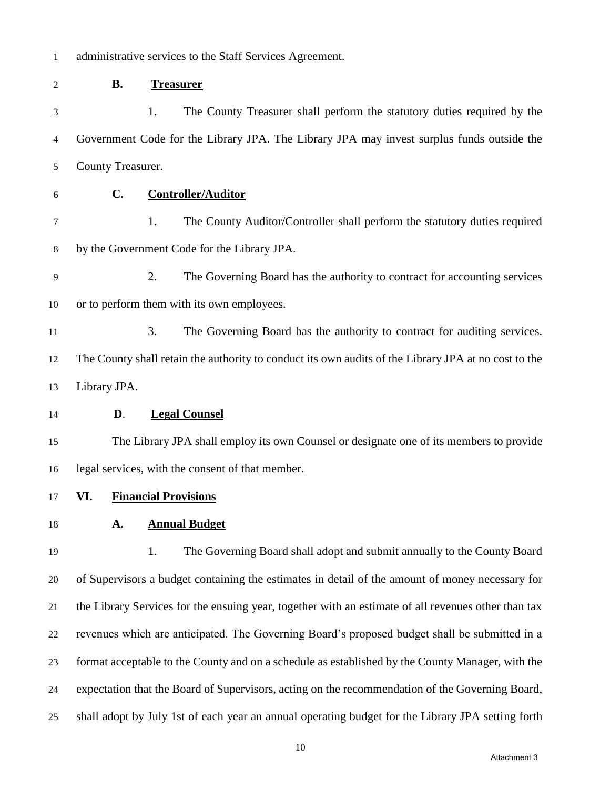| $\mathbf{1}$ |                   | administrative services to the Staff Services Agreement.                                             |
|--------------|-------------------|------------------------------------------------------------------------------------------------------|
| 2            | <b>B.</b>         | <b>Treasurer</b>                                                                                     |
| 3            |                   | The County Treasurer shall perform the statutory duties required by the<br>1.                        |
| 4            |                   | Government Code for the Library JPA. The Library JPA may invest surplus funds outside the            |
| 5            | County Treasurer. |                                                                                                      |
| 6            | C.                | <b>Controller/Auditor</b>                                                                            |
| 7            |                   | 1.<br>The County Auditor/Controller shall perform the statutory duties required                      |
| 8            |                   | by the Government Code for the Library JPA.                                                          |
| 9            |                   | 2.<br>The Governing Board has the authority to contract for accounting services                      |
| 10           |                   | or to perform them with its own employees.                                                           |
| 11           |                   | 3.<br>The Governing Board has the authority to contract for auditing services.                       |
| 12           |                   | The County shall retain the authority to conduct its own audits of the Library JPA at no cost to the |
| 13           | Library JPA.      |                                                                                                      |
| 14           | D.                | <b>Legal Counsel</b>                                                                                 |
| 15           |                   | The Library JPA shall employ its own Counsel or designate one of its members to provide              |
| 16           |                   | legal services, with the consent of that member.                                                     |
| 17           |                   | VI. Financial Provisions                                                                             |
| 18           | A.                | <b>Annual Budget</b>                                                                                 |
| 19           |                   | The Governing Board shall adopt and submit annually to the County Board<br>1.                        |
| 20           |                   | of Supervisors a budget containing the estimates in detail of the amount of money necessary for      |
| 21           |                   | the Library Services for the ensuing year, together with an estimate of all revenues other than tax  |
| 22           |                   | revenues which are anticipated. The Governing Board's proposed budget shall be submitted in a        |
| 23           |                   | format acceptable to the County and on a schedule as established by the County Manager, with the     |
| 24           |                   | expectation that the Board of Supervisors, acting on the recommendation of the Governing Board,      |
| 25           |                   | shall adopt by July 1st of each year an annual operating budget for the Library JPA setting forth    |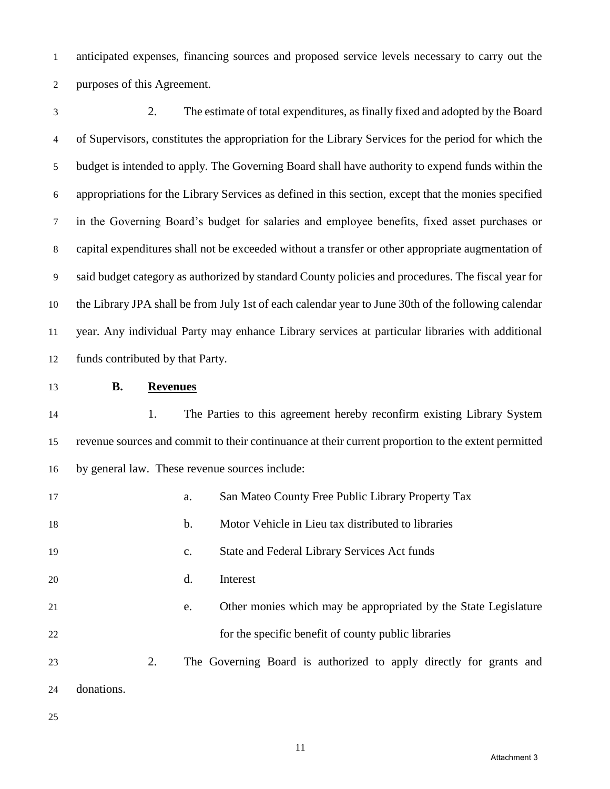anticipated expenses, financing sources and proposed service levels necessary to carry out the purposes of this Agreement.

 2. The estimate of total expenditures, as finally fixed and adopted by the Board of Supervisors, constitutes the appropriation for the Library Services for the period for which the budget is intended to apply. The Governing Board shall have authority to expend funds within the appropriations for the Library Services as defined in this section, except that the monies specified in the Governing Board's budget for salaries and employee benefits, fixed asset purchases or capital expenditures shall not be exceeded without a transfer or other appropriate augmentation of said budget category as authorized by standard County policies and procedures. The fiscal year for the Library JPA shall be from July 1st of each calendar year to June 30th of the following calendar year. Any individual Party may enhance Library services at particular libraries with additional funds contributed by that Party.

## **B. Revenues**

 1. The Parties to this agreement hereby reconfirm existing Library System revenue sources and commit to their continuance at their current proportion to the extent permitted by general law. These revenue sources include:

| 17 |            |    | a.             | San Mateo County Free Public Library Property Tax                  |
|----|------------|----|----------------|--------------------------------------------------------------------|
| 18 |            |    | b.             | Motor Vehicle in Lieu tax distributed to libraries                 |
| 19 |            |    | $\mathbf{c}$ . | State and Federal Library Services Act funds                       |
| 20 |            |    | d.             | Interest                                                           |
| 21 |            |    | e.             | Other monies which may be appropriated by the State Legislature    |
| 22 |            |    |                | for the specific benefit of county public libraries                |
| 23 |            | 2. |                | The Governing Board is authorized to apply directly for grants and |
| 24 | donations. |    |                |                                                                    |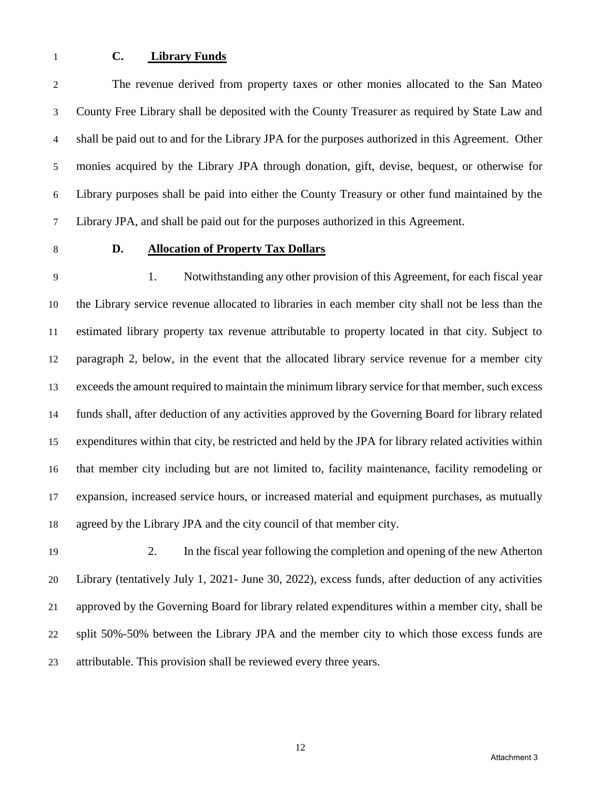#### **C. Library Funds**

 The revenue derived from property taxes or other monies allocated to the San Mateo County Free Library shall be deposited with the County Treasurer as required by State Law and shall be paid out to and for the Library JPA for the purposes authorized in this Agreement. Other monies acquired by the Library JPA through donation, gift, devise, bequest, or otherwise for Library purposes shall be paid into either the County Treasury or other fund maintained by the Library JPA, and shall be paid out for the purposes authorized in this Agreement.

### **D. Allocation of Property Tax Dollars**

 1. Notwithstanding any other provision of this Agreement, for each fiscal year the Library service revenue allocated to libraries in each member city shall not be less than the estimated library property tax revenue attributable to property located in that city. Subject to paragraph 2, below, in the event that the allocated library service revenue for a member city exceeds the amount required to maintain the minimum library service for that member, such excess funds shall, after deduction of any activities approved by the Governing Board for library related expenditures within that city, be restricted and held by the JPA for library related activities within that member city including but are not limited to, facility maintenance, facility remodeling or expansion, increased service hours, or increased material and equipment purchases, as mutually agreed by the Library JPA and the city council of that member city.

 2. In the fiscal year following the completion and opening of the new Atherton Library (tentatively July 1, 2021- June 30, 2022), excess funds, after deduction of any activities approved by the Governing Board for library related expenditures within a member city, shall be split 50%-50% between the Library JPA and the member city to which those excess funds are attributable. This provision shall be reviewed every three years.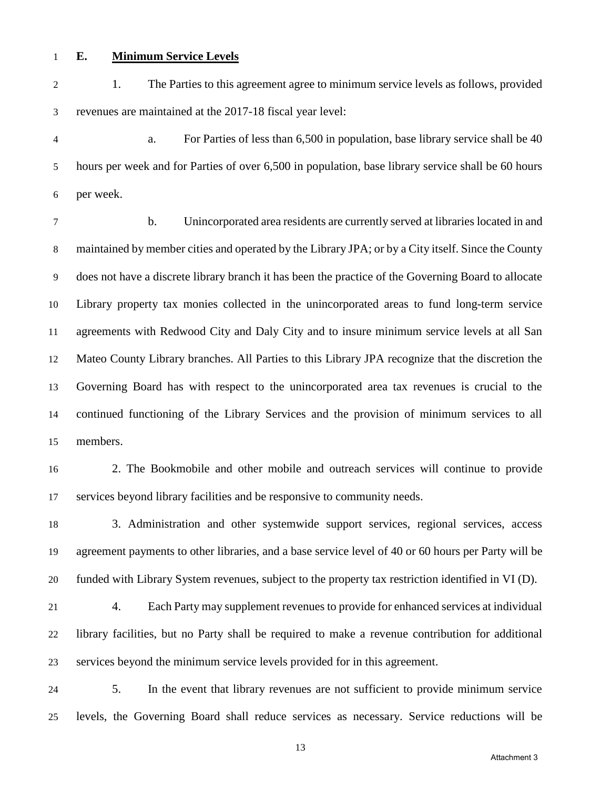#### **E. Minimum Service Levels**

 1. The Parties to this agreement agree to minimum service levels as follows, provided revenues are maintained at the 2017-18 fiscal year level:

 a. For Parties of less than 6,500 in population, base library service shall be 40 hours per week and for Parties of over 6,500 in population, base library service shall be 60 hours per week.

 b. Unincorporated area residents are currently served at libraries located in and maintained by member cities and operated by the Library JPA; or by a City itself. Since the County does not have a discrete library branch it has been the practice of the Governing Board to allocate Library property tax monies collected in the unincorporated areas to fund long-term service agreements with Redwood City and Daly City and to insure minimum service levels at all San Mateo County Library branches. All Parties to this Library JPA recognize that the discretion the Governing Board has with respect to the unincorporated area tax revenues is crucial to the continued functioning of the Library Services and the provision of minimum services to all members.

 2. The Bookmobile and other mobile and outreach services will continue to provide services beyond library facilities and be responsive to community needs.

 3. Administration and other systemwide support services, regional services, access agreement payments to other libraries, and a base service level of 40 or 60 hours per Party will be funded with Library System revenues, subject to the property tax restriction identified in VI (D).

- 4. Each Party may supplement revenues to provide for enhanced services at individual library facilities, but no Party shall be required to make a revenue contribution for additional services beyond the minimum service levels provided for in this agreement.
- 5. In the event that library revenues are not sufficient to provide minimum service levels, the Governing Board shall reduce services as necessary. Service reductions will be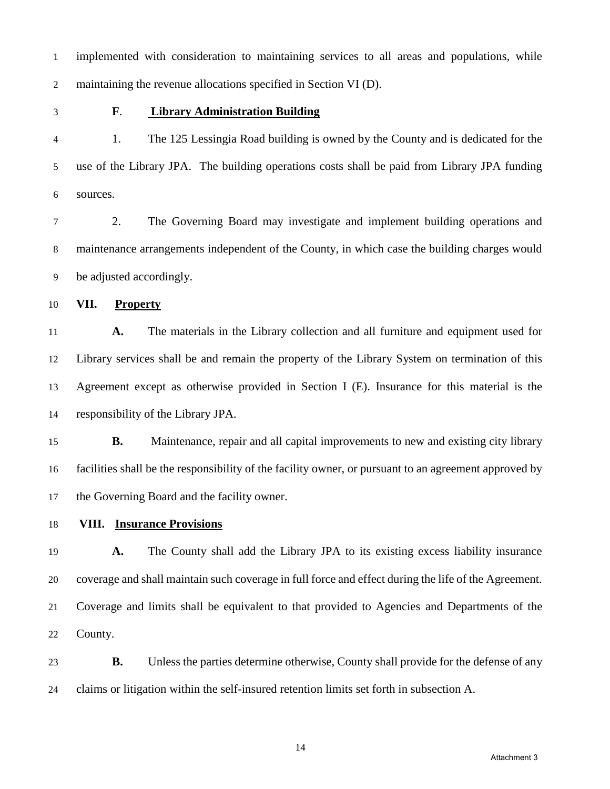implemented with consideration to maintaining services to all areas and populations, while maintaining the revenue allocations specified in Section VI (D).

## **F**. **Library Administration Building**

 1. The 125 Lessingia Road building is owned by the County and is dedicated for the use of the Library JPA. The building operations costs shall be paid from Library JPA funding sources.

 2. The Governing Board may investigate and implement building operations and maintenance arrangements independent of the County, in which case the building charges would be adjusted accordingly.

**VII. Property**

 **A.** The materials in the Library collection and all furniture and equipment used for Library services shall be and remain the property of the Library System on termination of this Agreement except as otherwise provided in Section I (E). Insurance for this material is the responsibility of the Library JPA.

 **B.** Maintenance, repair and all capital improvements to new and existing city library facilities shall be the responsibility of the facility owner, or pursuant to an agreement approved by the Governing Board and the facility owner.

**VIII. Insurance Provisions**

 **A.** The County shall add the Library JPA to its existing excess liability insurance coverage and shall maintain such coverage in full force and effect during the life of the Agreement. Coverage and limits shall be equivalent to that provided to Agencies and Departments of the County.

 **B.** Unless the parties determine otherwise, County shall provide for the defense of any claims or litigation within the self-insured retention limits set forth in subsection A.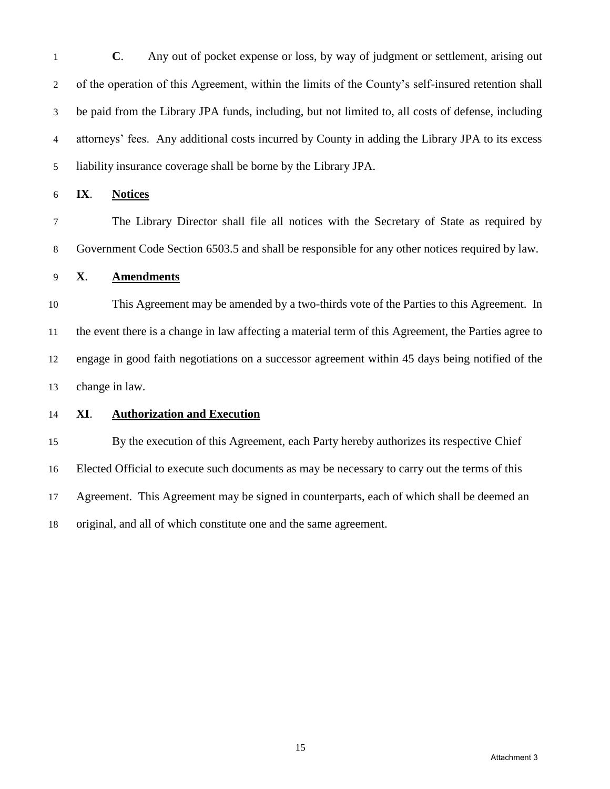**C**. Any out of pocket expense or loss, by way of judgment or settlement, arising out of the operation of this Agreement, within the limits of the County's self-insured retention shall be paid from the Library JPA funds, including, but not limited to, all costs of defense, including attorneys' fees. Any additional costs incurred by County in adding the Library JPA to its excess liability insurance coverage shall be borne by the Library JPA.

**IX**. **Notices**

 The Library Director shall file all notices with the Secretary of State as required by Government Code Section 6503.5 and shall be responsible for any other notices required by law.

## **X**. **Amendments**

 This Agreement may be amended by a two-thirds vote of the Parties to this Agreement. In the event there is a change in law affecting a material term of this Agreement, the Parties agree to engage in good faith negotiations on a successor agreement within 45 days being notified of the change in law.

#### **XI**. **Authorization and Execution**

 By the execution of this Agreement, each Party hereby authorizes its respective Chief Elected Official to execute such documents as may be necessary to carry out the terms of this Agreement. This Agreement may be signed in counterparts, each of which shall be deemed an original, and all of which constitute one and the same agreement.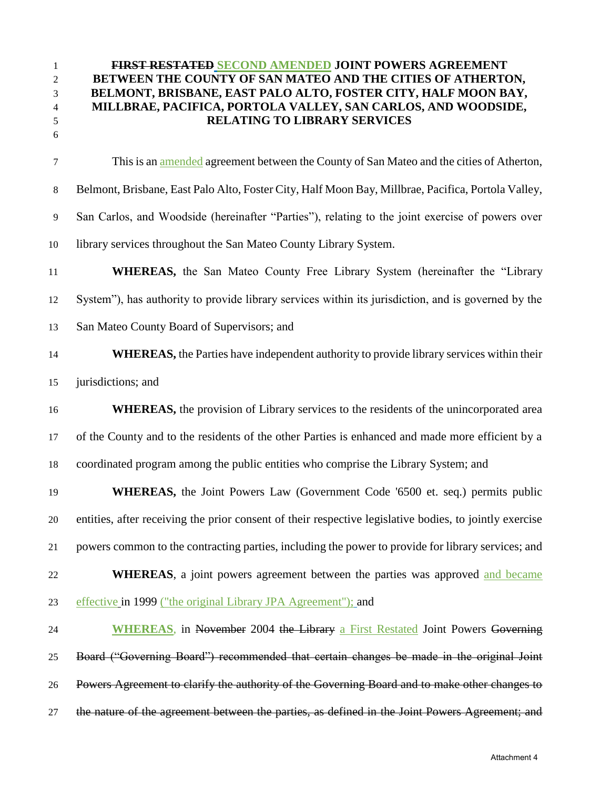**FIRST RESTATED SECOND AMENDED JOINT POWERS AGREEMENT BETWEEN THE COUNTY OF SAN MATEO AND THE CITIES OF ATHERTON, BELMONT, BRISBANE, EAST PALO ALTO, FOSTER CITY, HALF MOON BAY, MILLBRAE, PACIFICA, PORTOLA VALLEY, SAN CARLOS, AND WOODSIDE, RELATING TO LIBRARY SERVICES** This is an amended agreement between the County of San Mateo and the cities of Atherton, Belmont, Brisbane, East Palo Alto, Foster City, Half Moon Bay, Millbrae, Pacifica, Portola Valley, San Carlos, and Woodside (hereinafter "Parties"), relating to the joint exercise of powers over library services throughout the San Mateo County Library System. **WHEREAS,** the San Mateo County Free Library System (hereinafter the "Library System"), has authority to provide library services within its jurisdiction, and is governed by the San Mateo County Board of Supervisors; and **WHEREAS**, the Parties have independent authority to provide library services within their jurisdictions; and **WHEREAS**, the provision of Library services to the residents of the unincorporated area of the County and to the residents of the other Parties is enhanced and made more efficient by a coordinated program among the public entities who comprise the Library System; and **WHEREAS,** the Joint Powers Law (Government Code '6500 et. seq.) permits public entities, after receiving the prior consent of their respective legislative bodies, to jointly exercise powers common to the contracting parties, including the power to provide for library services; and **WHEREAS**, a joint powers agreement between the parties was approved and became effective in 1999 ("the original Library JPA Agreement"); and **WHEREAS**, in November 2004 the Library a First Restated Joint Powers Governing Board ("Governing Board") recommended that certain changes be made in the original Joint Powers Agreement to clarify the authority of the Governing Board and to make other changes to 27 the nature of the agreement between the parties, as defined in the Joint Powers Agreement; and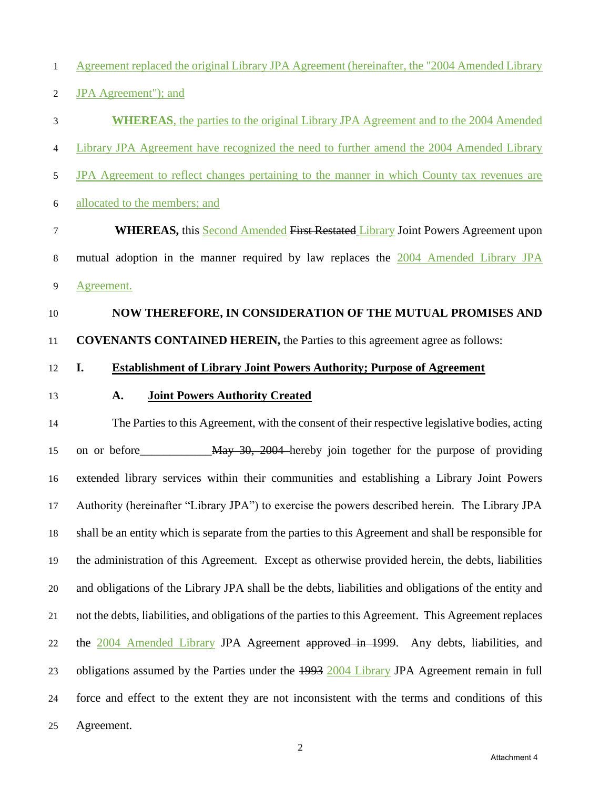Agreement replaced the original Library JPA Agreement (hereinafter, the "2004 Amended Library

- JPA Agreement"); and
- **WHEREAS**, the parties to the original Library JPA Agreement and to the 2004 Amended

Library JPA Agreement have recognized the need to further amend the 2004 Amended Library

- 5 JPA Agreement to reflect changes pertaining to the manner in which County tax revenues are
- allocated to the members; and

 **WHEREAS,** this Second Amended First Restated Library Joint Powers Agreement upon mutual adoption in the manner required by law replaces the 2004 Amended Library JPA Agreement.

#### **NOW THEREFORE, IN CONSIDERATION OF THE MUTUAL PROMISES AND**

**COVENANTS CONTAINED HEREIN,** the Parties to this agreement agree as follows:

## **I. Establishment of Library Joint Powers Authority; Purpose of Agreement**

## **A. Joint Powers Authority Created**

 The Parties to this Agreement, with the consent of their respective legislative bodies, acting 15 on or before May 30, 2004 hereby join together for the purpose of providing extended library services within their communities and establishing a Library Joint Powers Authority (hereinafter "Library JPA") to exercise the powers described herein. The Library JPA shall be an entity which is separate from the parties to this Agreement and shall be responsible for the administration of this Agreement. Except as otherwise provided herein, the debts, liabilities and obligations of the Library JPA shall be the debts, liabilities and obligations of the entity and not the debts, liabilities, and obligations of the parties to this Agreement. This Agreement replaces the 2004 Amended Library JPA Agreement approved in 1999. Any debts, liabilities, and 23 obligations assumed by the Parties under the 1993 2004 Library JPA Agreement remain in full force and effect to the extent they are not inconsistent with the terms and conditions of this Agreement.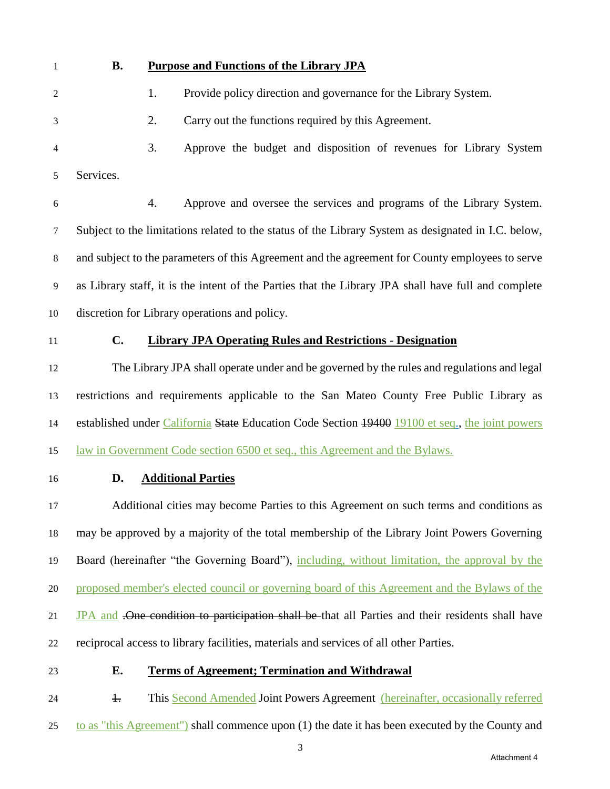## **B. Purpose and Functions of the Library JPA**

1. Provide policy direction and governance for the Library System.

2. Carry out the functions required by this Agreement.

 3. Approve the budget and disposition of revenues for Library System Services.

 4. Approve and oversee the services and programs of the Library System. Subject to the limitations related to the status of the Library System as designated in I.C. below, and subject to the parameters of this Agreement and the agreement for County employees to serve as Library staff, it is the intent of the Parties that the Library JPA shall have full and complete discretion for Library operations and policy.

# **C. Library JPA Operating Rules and Restrictions - Designation**

 The Library JPA shall operate under and be governed by the rules and regulations and legal restrictions and requirements applicable to the San Mateo County Free Public Library as 14 established under California State Education Code Section 19400 19100 et seq., the joint powers law in Government Code section 6500 et seq., this Agreement and the Bylaws.

## **D. Additional Parties**

 Additional cities may become Parties to this Agreement on such terms and conditions as may be approved by a majority of the total membership of the Library Joint Powers Governing Board (hereinafter "the Governing Board"), including, without limitation, the approval by the proposed member's elected council or governing board of this Agreement and the Bylaws of the 21 JPA and .One condition to participation shall be that all Parties and their residents shall have reciprocal access to library facilities, materials and services of all other Parties.

# **E. Terms of Agreement; Termination and Withdrawal**

24 1. This Second Amended Joint Powers Agreement (hereinafter, occasionally referred

to as "this Agreement") shall commence upon (1) the date it has been executed by the County and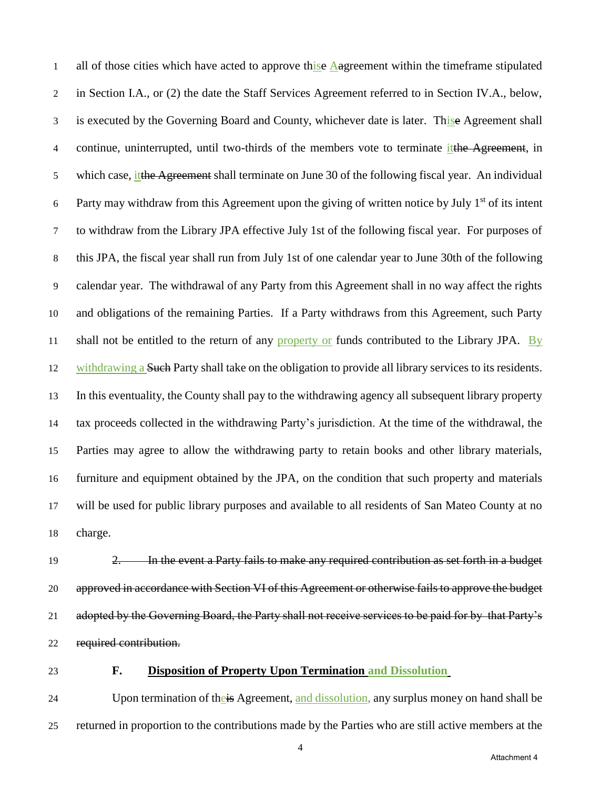1 all of those cities which have acted to approve thise Aagreement within the timeframe stipulated in Section I.A., or (2) the date the Staff Services Agreement referred to in Section IV.A., below, 3 is executed by the Governing Board and County, whichever date is later. This eAgreement shall 4 continue, uninterrupted, until two-thirds of the members vote to terminate it the Agreement, in 5 which case, it the Agreement shall terminate on June 30 of the following fiscal year. An individual 6 Party may withdraw from this Agreement upon the giving of written notice by July  $1<sup>st</sup>$  of its intent to withdraw from the Library JPA effective July 1st of the following fiscal year. For purposes of this JPA, the fiscal year shall run from July 1st of one calendar year to June 30th of the following calendar year. The withdrawal of any Party from this Agreement shall in no way affect the rights and obligations of the remaining Parties. If a Party withdraws from this Agreement, such Party 11 shall not be entitled to the return of any property or funds contributed to the Library JPA. By 12 withdrawing a Such Party shall take on the obligation to provide all library services to its residents. In this eventuality, the County shall pay to the withdrawing agency all subsequent library property tax proceeds collected in the withdrawing Party's jurisdiction. At the time of the withdrawal, the Parties may agree to allow the withdrawing party to retain books and other library materials, furniture and equipment obtained by the JPA, on the condition that such property and materials will be used for public library purposes and available to all residents of San Mateo County at no charge.

 2. In the event a Party fails to make any required contribution as set forth in a budget 20 approved in accordance with Section VI of this Agreement or otherwise fails to approve the budget adopted by the Governing Board, the Party shall not receive services to be paid for by that Party's required contribution.

# **F. Disposition of Property Upon Termination and Dissolution**

24 Upon termination of the is Agreement, and dissolution, any surplus money on hand shall be returned in proportion to the contributions made by the Parties who are still active members at the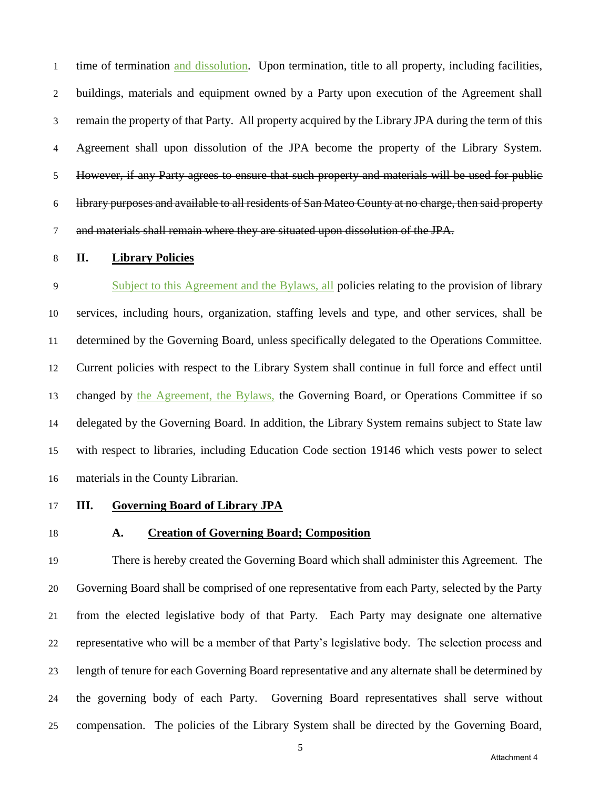1 time of termination and dissolution. Upon termination, title to all property, including facilities, buildings, materials and equipment owned by a Party upon execution of the Agreement shall remain the property of that Party. All property acquired by the Library JPA during the term of this Agreement shall upon dissolution of the JPA become the property of the Library System. However, if any Party agrees to ensure that such property and materials will be used for public library purposes and available to all residents of San Mateo County at no charge, then said property and materials shall remain where they are situated upon dissolution of the JPA.

#### **II. Library Policies**

 Subject to this Agreement and the Bylaws, all policies relating to the provision of library services, including hours, organization, staffing levels and type, and other services, shall be determined by the Governing Board, unless specifically delegated to the Operations Committee. Current policies with respect to the Library System shall continue in full force and effect until changed by the Agreement, the Bylaws, the Governing Board, or Operations Committee if so delegated by the Governing Board. In addition, the Library System remains subject to State law with respect to libraries, including Education Code section 19146 which vests power to select materials in the County Librarian.

### **III. Governing Board of Library JPA**

# **A. Creation of Governing Board; Composition**

 There is hereby created the Governing Board which shall administer this Agreement. The Governing Board shall be comprised of one representative from each Party, selected by the Party from the elected legislative body of that Party. Each Party may designate one alternative representative who will be a member of that Party's legislative body. The selection process and length of tenure for each Governing Board representative and any alternate shall be determined by the governing body of each Party. Governing Board representatives shall serve without compensation. The policies of the Library System shall be directed by the Governing Board,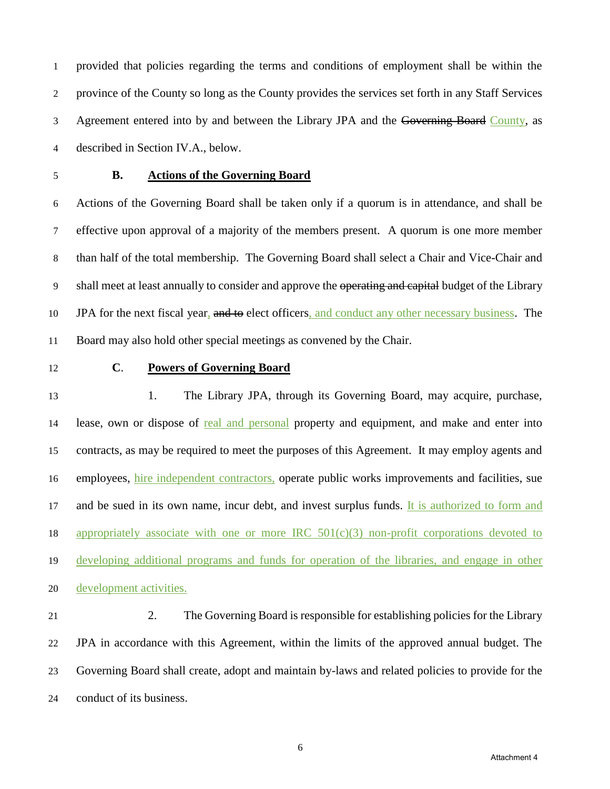provided that policies regarding the terms and conditions of employment shall be within the province of the County so long as the County provides the services set forth in any Staff Services 3 Agreement entered into by and between the Library JPA and the Governing Board County, as described in Section IV.A., below.

# **B. Actions of the Governing Board**

 Actions of the Governing Board shall be taken only if a quorum is in attendance, and shall be effective upon approval of a majority of the members present. A quorum is one more member than half of the total membership. The Governing Board shall select a Chair and Vice-Chair and 9 shall meet at least annually to consider and approve the operating and capital budget of the Library 10 JPA for the next fiscal year, and to elect officers, and conduct any other necessary business. The Board may also hold other special meetings as convened by the Chair.

# **C**. **Powers of Governing Board**

 1. The Library JPA, through its Governing Board, may acquire, purchase, lease, own or dispose of real and personal property and equipment, and make and enter into contracts, as may be required to meet the purposes of this Agreement. It may employ agents and employees, hire independent contractors, operate public works improvements and facilities, sue 17 and be sued in its own name, incur debt, and invest surplus funds. It is authorized to form and 18 appropriately associate with one or more IRC  $501(c)(3)$  non-profit corporations devoted to developing additional programs and funds for operation of the libraries, and engage in other development activities.

 2. The Governing Board is responsible for establishing policies for the Library JPA in accordance with this Agreement, within the limits of the approved annual budget. The Governing Board shall create, adopt and maintain by-laws and related policies to provide for the conduct of its business.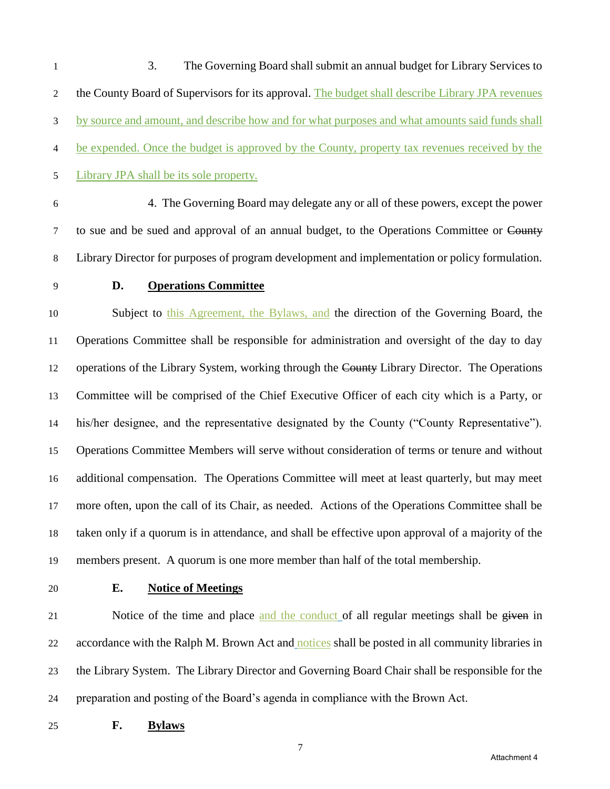3. The Governing Board shall submit an annual budget for Library Services to 2 the County Board of Supervisors for its approval. The budget shall describe Library JPA revenues by source and amount, and describe how and for what purposes and what amounts said funds shall be expended. Once the budget is approved by the County, property tax revenues received by the Library JPA shall be its sole property.

 4.The Governing Board may delegate any or all of these powers, except the power 7 to sue and be sued and approval of an annual budget, to the Operations Committee or County Library Director for purposes of program development and implementation or policy formulation.

## **D. Operations Committee**

 Subject to this Agreement, the Bylaws, and the direction of the Governing Board, the Operations Committee shall be responsible for administration and oversight of the day to day operations of the Library System, working through the County Library Director.The Operations Committee will be comprised of the Chief Executive Officer of each city which is a Party, or his/her designee, and the representative designated by the County ("County Representative"). Operations Committee Members will serve without consideration of terms or tenure and without additional compensation. The Operations Committee will meet at least quarterly, but may meet more often, upon the call of its Chair, as needed. Actions of the Operations Committee shall be taken only if a quorum is in attendance, and shall be effective upon approval of a majority of the members present. A quorum is one more member than half of the total membership.

#### **E. Notice of Meetings**

21 Notice of the time and place and the conduct of all regular meetings shall be given in accordance with the Ralph M. Brown Act and notices shall be posted in all community libraries in the Library System. The Library Director and Governing Board Chair shall be responsible for the preparation and posting of the Board's agenda in compliance with the Brown Act.

**F. Bylaws**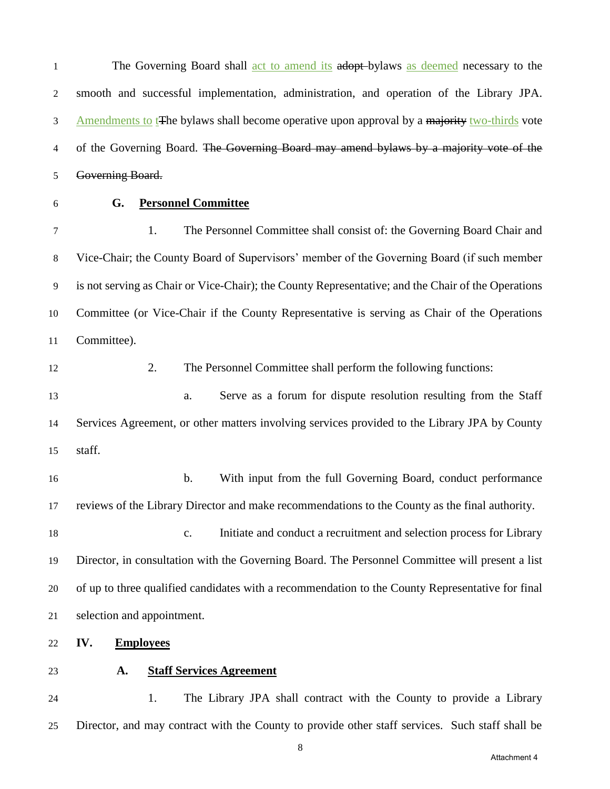1 The Governing Board shall <u>act to amend its</u> adopt-bylaws as deemed necessary to the smooth and successful implementation, administration, and operation of the Library JPA. 3 Amendments to t<sub>T</sub>he bylaws shall become operative upon approval by a majority two-thirds vote 4 of the Governing Board. The Governing Board may amend bylaws by a majority vote of the Governing Board.

# **G. Personnel Committee**

 1. The Personnel Committee shall consist of: the Governing Board Chair and Vice-Chair; the County Board of Supervisors' member of the Governing Board (if such member is not serving as Chair or Vice-Chair); the County Representative; and the Chair of the Operations Committee (or Vice-Chair if the County Representative is serving as Chair of the Operations Committee).

 2. The Personnel Committee shall perform the following functions: a. Serve as a forum for dispute resolution resulting from the Staff Services Agreement, or other matters involving services provided to the Library JPA by County staff.

 b. With input from the full Governing Board, conduct performance reviews of the Library Director and make recommendations to the County as the final authority.

 c. Initiate and conduct a recruitment and selection process for Library Director, in consultation with the Governing Board. The Personnel Committee will present a list of up to three qualified candidates with a recommendation to the County Representative for final selection and appointment.

- **IV. Employees**
- 

#### **A. Staff Services Agreement**

 1. The Library JPA shall contract with the County to provide a Library Director, and may contract with the County to provide other staff services. Such staff shall be

Attachment 4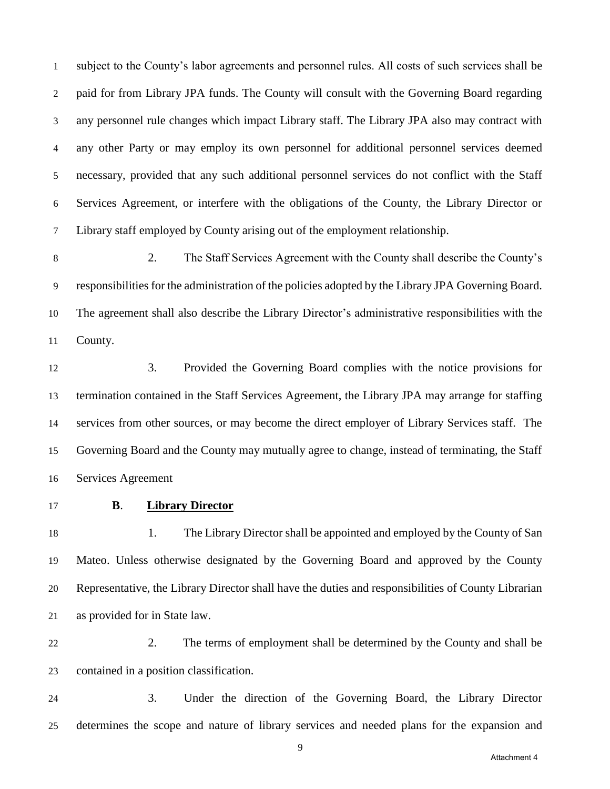subject to the County's labor agreements and personnel rules. All costs of such services shall be paid for from Library JPA funds. The County will consult with the Governing Board regarding any personnel rule changes which impact Library staff. The Library JPA also may contract with any other Party or may employ its own personnel for additional personnel services deemed necessary, provided that any such additional personnel services do not conflict with the Staff Services Agreement, or interfere with the obligations of the County, the Library Director or Library staff employed by County arising out of the employment relationship.

 2. The Staff Services Agreement with the County shall describe the County's responsibilities for the administration of the policies adopted by the Library JPA Governing Board. The agreement shall also describe the Library Director's administrative responsibilities with the County.

 3. Provided the Governing Board complies with the notice provisions for termination contained in the Staff Services Agreement, the Library JPA may arrange for staffing services from other sources, or may become the direct employer of Library Services staff. The Governing Board and the County may mutually agree to change, instead of terminating, the Staff Services Agreement

#### **B**. **Library Director**

 1. The Library Director shall be appointed and employed by the County of San Mateo. Unless otherwise designated by the Governing Board and approved by the County Representative, the Library Director shall have the duties and responsibilities of County Librarian as provided for in State law.

 2. The terms of employment shall be determined by the County and shall be contained in a position classification.

 3. Under the direction of the Governing Board, the Library Director determines the scope and nature of library services and needed plans for the expansion and

Attachment 4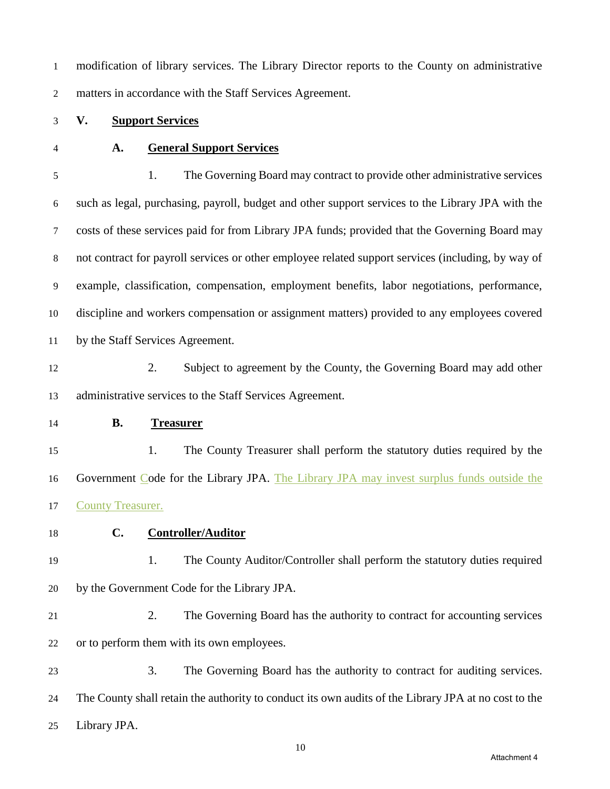modification of library services. The Library Director reports to the County on administrative matters in accordance with the Staff Services Agreement.

- **V. Support Services**
- 

#### **A. General Support Services**

 1. The Governing Board may contract to provide other administrative services such as legal, purchasing, payroll, budget and other support services to the Library JPA with the costs of these services paid for from Library JPA funds; provided that the Governing Board may not contract for payroll services or other employee related support services (including, by way of example, classification, compensation, employment benefits, labor negotiations, performance, discipline and workers compensation or assignment matters) provided to any employees covered by the Staff Services Agreement.

 2. Subject to agreement by the County, the Governing Board may add other administrative services to the Staff Services Agreement.

#### **B. Treasurer**

 1. The County Treasurer shall perform the statutory duties required by the Government Code for the Library JPA. The Library JPA may invest surplus funds outside the County Treasurer.

- **C. Controller/Auditor**
- 1. The County Auditor/Controller shall perform the statutory duties required by the Government Code for the Library JPA.
- 

 2. The Governing Board has the authority to contract for accounting services or to perform them with its own employees.

 3. The Governing Board has the authority to contract for auditing services. The County shall retain the authority to conduct its own audits of the Library JPA at no cost to the Library JPA.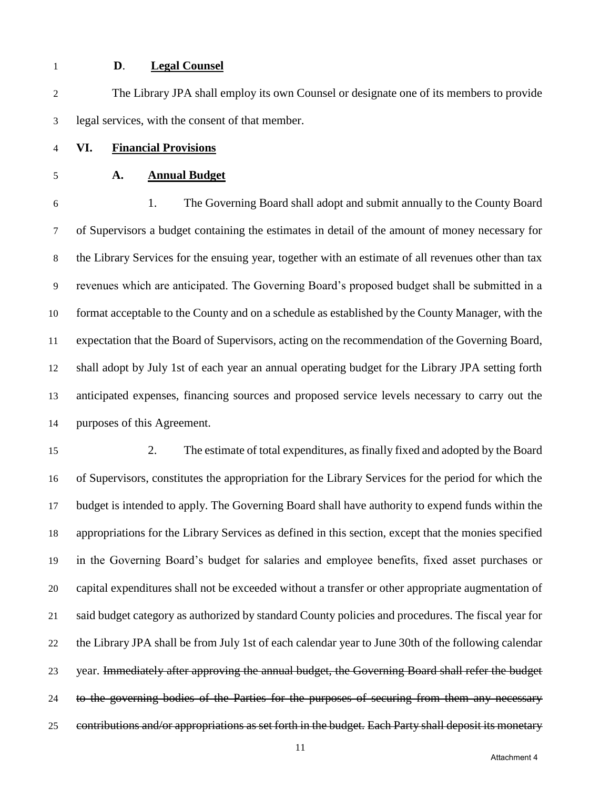#### **D**. **Legal Counsel**

 The Library JPA shall employ its own Counsel or designate one of its members to provide legal services, with the consent of that member.

- **VI. Financial Provisions**
- **A. Annual Budget**

 1. The Governing Board shall adopt and submit annually to the County Board of Supervisors a budget containing the estimates in detail of the amount of money necessary for the Library Services for the ensuing year, together with an estimate of all revenues other than tax revenues which are anticipated. The Governing Board's proposed budget shall be submitted in a format acceptable to the County and on a schedule as established by the County Manager, with the expectation that the Board of Supervisors, acting on the recommendation of the Governing Board, shall adopt by July 1st of each year an annual operating budget for the Library JPA setting forth anticipated expenses, financing sources and proposed service levels necessary to carry out the purposes of this Agreement.

 2. The estimate of total expenditures, as finally fixed and adopted by the Board of Supervisors, constitutes the appropriation for the Library Services for the period for which the budget is intended to apply. The Governing Board shall have authority to expend funds within the appropriations for the Library Services as defined in this section, except that the monies specified in the Governing Board's budget for salaries and employee benefits, fixed asset purchases or capital expenditures shall not be exceeded without a transfer or other appropriate augmentation of said budget category as authorized by standard County policies and procedures. The fiscal year for the Library JPA shall be from July 1st of each calendar year to June 30th of the following calendar year. Immediately after approving the annual budget, the Governing Board shall refer the budget 24 to the governing bodies of the Parties for the purposes of securing from them any necessary contributions and/or appropriations as set forth in the budget. Each Party shall deposit its monetary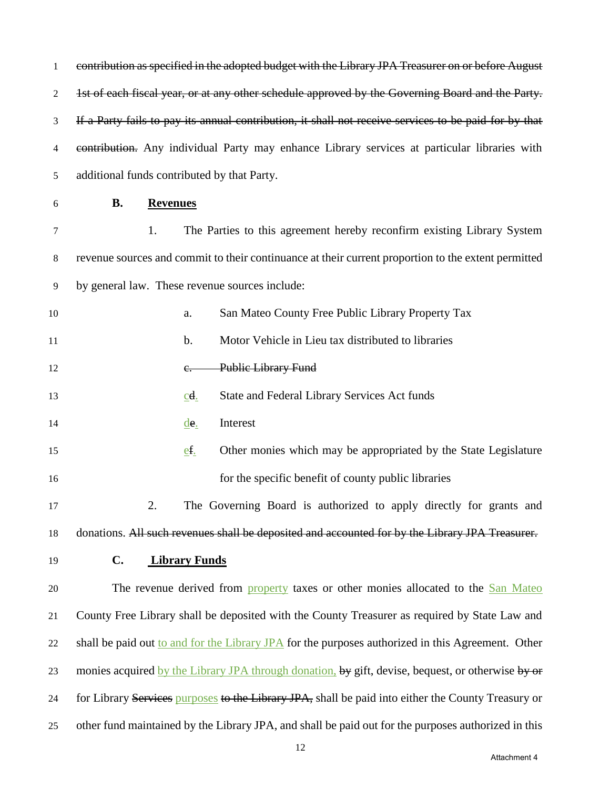| 1  | contribution as specified in the adopted budget with the Library JPA Treasurer on or before August    |  |  |  |
|----|-------------------------------------------------------------------------------------------------------|--|--|--|
| 2  | 1st of each fiscal year, or at any other schedule approved by the Governing Board and the Party.      |  |  |  |
| 3  | If a Party fails to pay its annual contribution, it shall not receive services to be paid for by that |  |  |  |
| 4  | contribution. Any individual Party may enhance Library services at particular libraries with          |  |  |  |
| 5  | additional funds contributed by that Party.                                                           |  |  |  |
| 6  | <b>B.</b><br><b>Revenues</b>                                                                          |  |  |  |
| 7  | 1.<br>The Parties to this agreement hereby reconfirm existing Library System                          |  |  |  |
| 8  | revenue sources and commit to their continuance at their current proportion to the extent permitted   |  |  |  |
| 9  | by general law. These revenue sources include:                                                        |  |  |  |
| 10 | San Mateo County Free Public Library Property Tax<br>a.                                               |  |  |  |
| 11 | Motor Vehicle in Lieu tax distributed to libraries<br>$\mathbf b$ .                                   |  |  |  |
| 12 | <b>Public Library Fund</b><br>е.                                                                      |  |  |  |
| 13 | State and Federal Library Services Act funds<br>$\underline{cd}$ .                                    |  |  |  |
| 14 | Interest<br>$\underline{\text{de}}$ .                                                                 |  |  |  |
| 15 | Other monies which may be appropriated by the State Legislature<br>$ef_$                              |  |  |  |
| 16 | for the specific benefit of county public libraries                                                   |  |  |  |
| 17 | 2.<br>The Governing Board is authorized to apply directly for grants and                              |  |  |  |
| 18 | donations. All such revenues shall be deposited and accounted for by the Library JPA Treasurer.       |  |  |  |
| 19 | $\mathbf{C}$ .<br><b>Library Funds</b>                                                                |  |  |  |
| 20 | The revenue derived from property taxes or other monies allocated to the San Mateo                    |  |  |  |
| 21 | County Free Library shall be deposited with the County Treasurer as required by State Law and         |  |  |  |
| 22 | shall be paid out to and for the Library JPA for the purposes authorized in this Agreement. Other     |  |  |  |
| 23 | monies acquired by the Library JPA through donation, by gift, devise, bequest, or otherwise by or     |  |  |  |
| 24 | for Library Services purposes to the Library JPA, shall be paid into either the County Treasury or    |  |  |  |
| 25 | other fund maintained by the Library JPA, and shall be paid out for the purposes authorized in this   |  |  |  |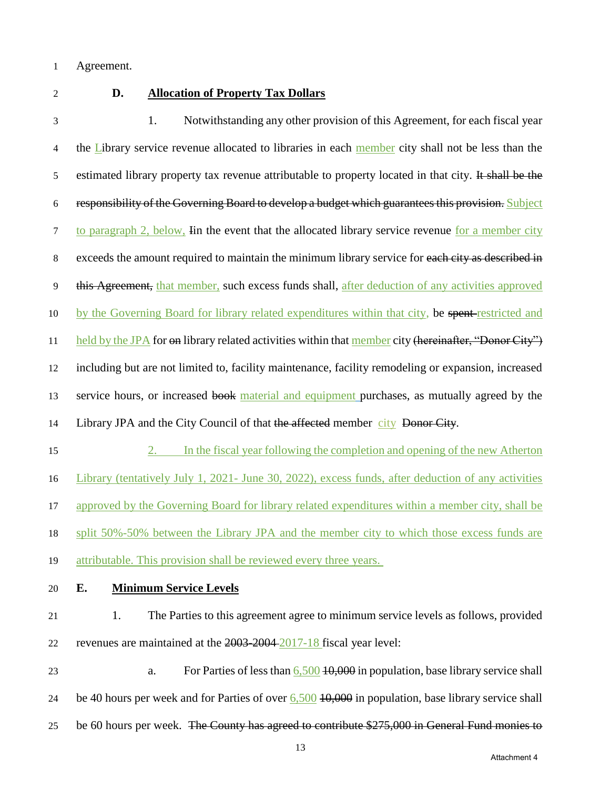1 Agreement.

# 2 **D. Allocation of Property Tax Dollars**

3 1. Notwithstanding any other provision of this Agreement, for each fiscal year 4 the Library service revenue allocated to libraries in each member city shall not be less than the 5 estimated library property tax revenue attributable to property located in that city. It shall be the 6 responsibility of the Governing Board to develop a budget which guarantees this provision. Subject 7 to paragraph 2, below, Iin the event that the allocated library service revenue for a member city 8 exceeds the amount required to maintain the minimum library service for each city as described in 9 this Agreement, that member, such excess funds shall, after deduction of any activities approved 10 by the Governing Board for library related expenditures within that city, be spent restricted and 11 held by the JPA for on library related activities within that member city (hereinafter, "Donor City") 12 including but are not limited to, facility maintenance, facility remodeling or expansion, increased 13 service hours, or increased book material and equipment purchases, as mutually agreed by the 14 Library JPA and the City Council of that the affected member city Donor City.

- 15 2. In the fiscal year following the completion and opening of the new Atherton 16 Library (tentatively July 1, 2021- June 30, 2022), excess funds, after deduction of any activities 17 approved by the Governing Board for library related expenditures within a member city, shall be 18 split 50%-50% between the Library JPA and the member city to which those excess funds are 19 attributable. This provision shall be reviewed every three years.
- 

# 20 **E. Minimum Service Levels**

21 1. The Parties to this agreement agree to minimum service levels as follows, provided 22 revenues are maintained at the 2003-2004 2017-18 fiscal year level:

23 a. For Parties of less than 6,500 10,000 in population, base library service shall 24 be 40 hours per week and for Parties of over 6,500 10,000 in population, base library service shall 25 be 60 hours per week. The County has agreed to contribute \$275,000 in General Fund monies to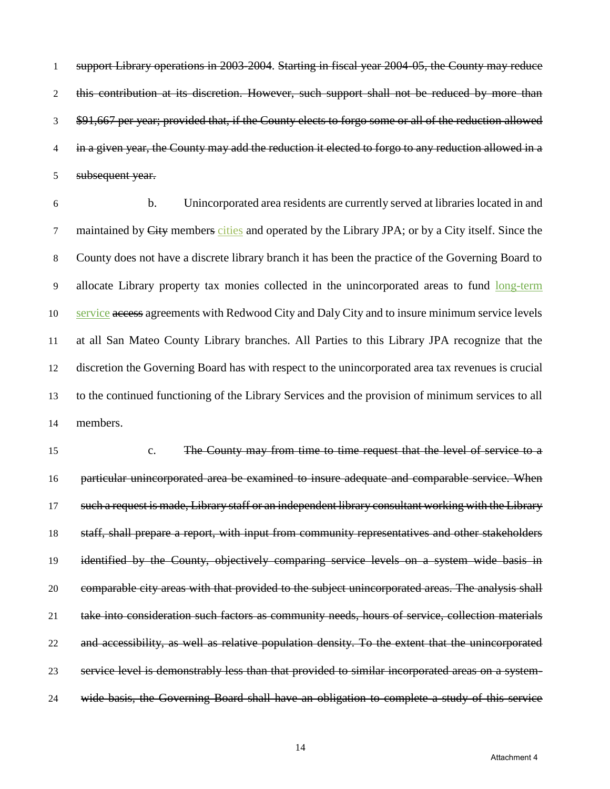support Library operations in 2003-2004. Starting in fiscal year 2004-05, the County may reduce 2 this contribution at its discretion. However, such support shall not be reduced by more than \$91,667 per year; provided that, if the County elects to forgo some or all of the reduction allowed 4 in a given year, the County may add the reduction it elected to forgo to any reduction allowed in a subsequent year.

 b. Unincorporated area residents are currently served at libraries located in and 7 maintained by City members cities and operated by the Library JPA; or by a City itself. Since the County does not have a discrete library branch it has been the practice of the Governing Board to allocate Library property tax monies collected in the unincorporated areas to fund long-term service access agreements with Redwood City and Daly City and to insure minimum service levels at all San Mateo County Library branches. All Parties to this Library JPA recognize that the discretion the Governing Board has with respect to the unincorporated area tax revenues is crucial to the continued functioning of the Library Services and the provision of minimum services to all members.

 c. The County may from time to time request that the level of service to a 16 particular unincorporated area be examined to insure adequate and comparable service. When such a request is made, Library staff or an independent library consultant working with the Library staff, shall prepare a report, with input from community representatives and other stakeholders 19 identified by the County, objectively comparing service levels on a system wide basis in comparable city areas with that provided to the subject unincorporated areas. The analysis shall take into consideration such factors as community needs, hours of service, collection materials and accessibility, as well as relative population density. To the extent that the unincorporated service level is demonstrably less than that provided to similar incorporated areas on a system-wide basis, the Governing Board shall have an obligation to complete a study of this service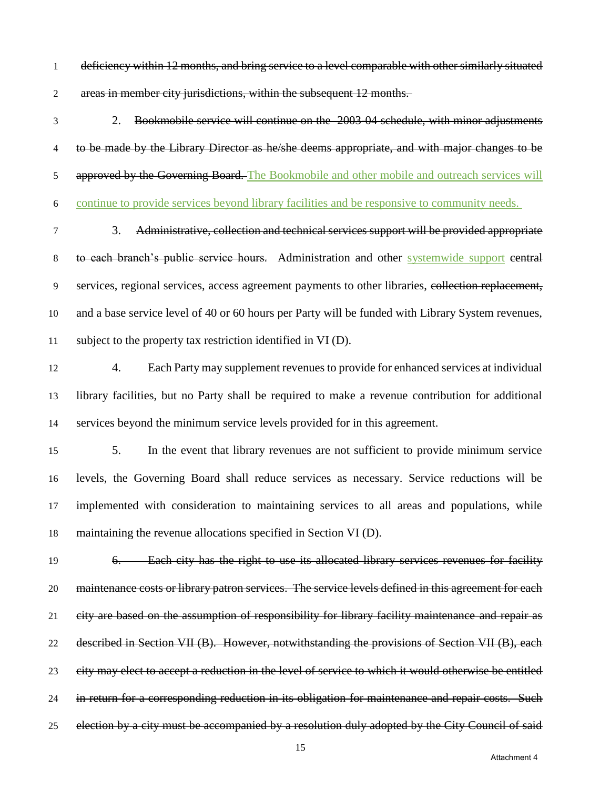- 1 deficiency within 12 months, and bring service to a level comparable with other similarly situated areas in member city jurisdictions, within the subsequent 12 months.
- 2. Bookmobile service will continue on the 2003-04 schedule, with minor adjustments 4 to be made by the Library Director as he/she deems appropriate, and with major changes to be 5 approved by the Governing Board. The Bookmobile and other mobile and outreach services will continue to provide services beyond library facilities and be responsive to community needs.
- 3. Administrative, collection and technical services support will be provided appropriate 8 to each branch's public service hours. Administration and other systemwide support central services, regional services, access agreement payments to other libraries, collection replacement, and a base service level of 40 or 60 hours per Party will be funded with Library System revenues, subject to the property tax restriction identified in VI (D).
- 4. Each Party may supplement revenues to provide for enhanced services at individual library facilities, but no Party shall be required to make a revenue contribution for additional services beyond the minimum service levels provided for in this agreement.
- 5. In the event that library revenues are not sufficient to provide minimum service levels, the Governing Board shall reduce services as necessary. Service reductions will be implemented with consideration to maintaining services to all areas and populations, while maintaining the revenue allocations specified in Section VI (D).
- 6. Each city has the right to use its allocated library services revenues for facility 20 maintenance costs or library patron services. The service levels defined in this agreement for each 21 eity are based on the assumption of responsibility for library facility maintenance and repair as described in Section VII (B). However, notwithstanding the provisions of Section VII (B), each city may elect to accept a reduction in the level of service to which it would otherwise be entitled 24 in return for a corresponding reduction in its obligation for maintenance and repair costs. Such 25 election by a city must be accompanied by a resolution duly adopted by the City Council of said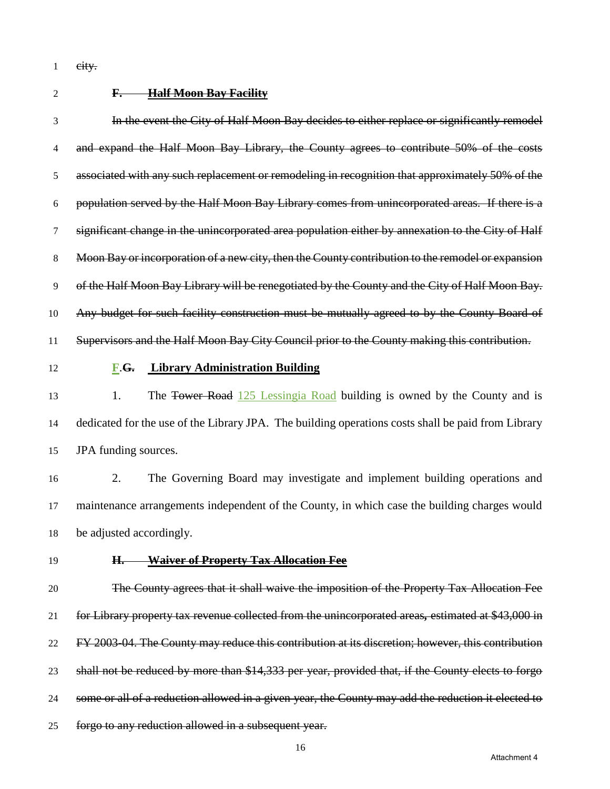1 eity.

# **F. Half Moon Bay Facility**

 In the event the City of Half Moon Bay decides to either replace or significantly remodel 4 and expand the Half Moon Bay Library, the County agrees to contribute 50% of the costs associated with any such replacement or remodeling in recognition that approximately 50% of the population served by the Half Moon Bay Library comes from unincorporated areas. If there is a significant change in the unincorporated area population either by annexation to the City of Half 8 Moon Bay or incorporation of a new city, then the County contribution to the remodel or expansion of the Half Moon Bay Library will be renegotiated by the County and the City of Half Moon Bay. 10 Any budget for such facility construction must be mutually agreed to by the County Board of Supervisors and the Half Moon Bay City Council prior to the County making this contribution. **F**.**G. Library Administration Building** 13 1. The Tower Road 125 Lessingia Road building is owned by the County and is dedicated for the use of the Library JPA. The building operations costs shall be paid from Library JPA funding sources. 2. The Governing Board may investigate and implement building operations and maintenance arrangements independent of the County, in which case the building charges would be adjusted accordingly. **H. Waiver of Property Tax Allocation Fee** The County agrees that it shall waive the imposition of the Property Tax Allocation Fee for Library property tax revenue collected from the unincorporated areas*,* estimated at \$43,000 in

FY 2003-04. The County may reduce this contribution at its discretion; however, this contribution

shall not be reduced by more than \$14,333 per year, provided that, if the County elects to forgo

- 24 some or all of a reduction allowed in a given year, the County may add the reduction it elected to
- forgo to any reduction allowed in a subsequent year.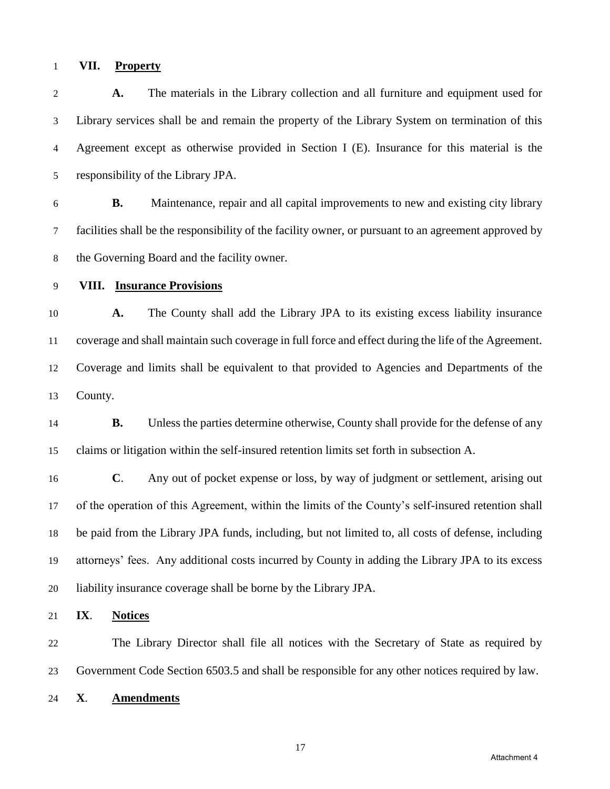### **VII. Property**

 **A.** The materials in the Library collection and all furniture and equipment used for Library services shall be and remain the property of the Library System on termination of this Agreement except as otherwise provided in Section I (E). Insurance for this material is the responsibility of the Library JPA.

 **B.** Maintenance, repair and all capital improvements to new and existing city library facilities shall be the responsibility of the facility owner, or pursuant to an agreement approved by the Governing Board and the facility owner.

## **VIII. Insurance Provisions**

 **A.** The County shall add the Library JPA to its existing excess liability insurance coverage and shall maintain such coverage in full force and effect during the life of the Agreement. Coverage and limits shall be equivalent to that provided to Agencies and Departments of the County.

 **B.** Unless the parties determine otherwise, County shall provide for the defense of any claims or litigation within the self-insured retention limits set forth in subsection A.

 **C**. Any out of pocket expense or loss, by way of judgment or settlement, arising out of the operation of this Agreement, within the limits of the County's self-insured retention shall be paid from the Library JPA funds, including, but not limited to, all costs of defense, including attorneys' fees. Any additional costs incurred by County in adding the Library JPA to its excess liability insurance coverage shall be borne by the Library JPA.

**IX**. **Notices**

 The Library Director shall file all notices with the Secretary of State as required by Government Code Section 6503.5 and shall be responsible for any other notices required by law.

**X**. **Amendments**

Attachment 4